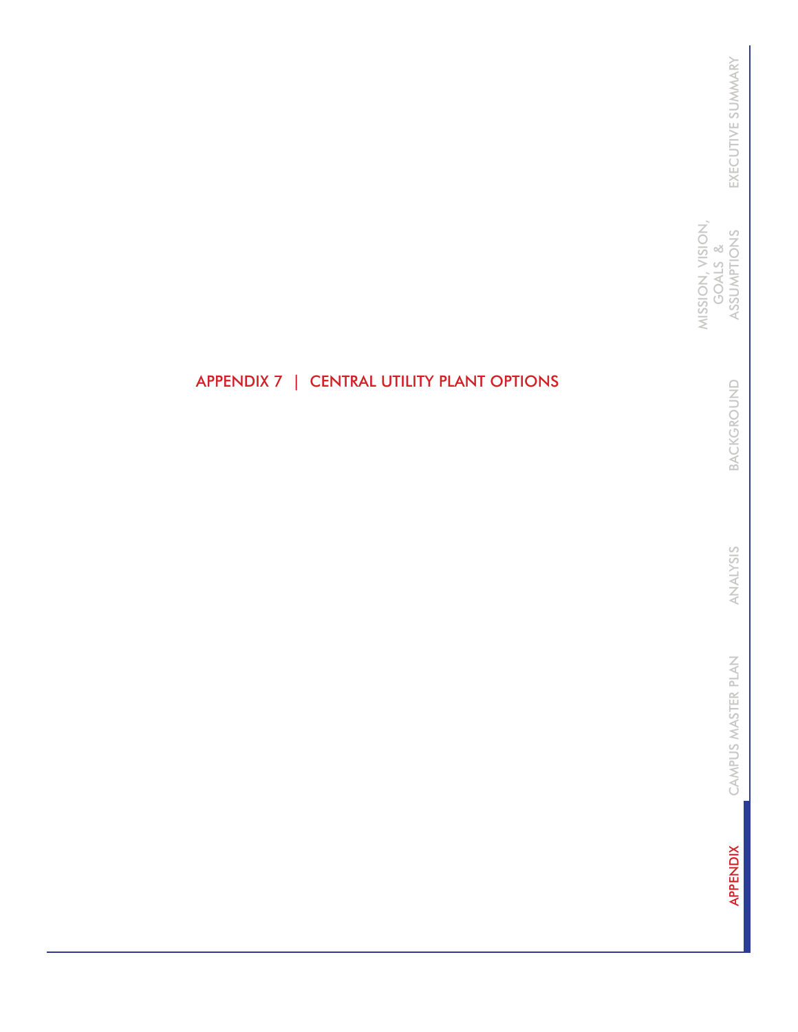MISSION, VISION,<br>GOALS &<br>ASSUMPTIONS MISSION, VISION, ASSUMPTIONS GOALS &

> BACKGROUND BACKGROUND

ANALYSIS ANALYSIS

CAMPUS MASTER PLAN CAMPUS MASTER PLAN

**APPENDIX** APPENDIX

# APPENDIX 7 | CENTRAL UTILITY PLANT OPTIONS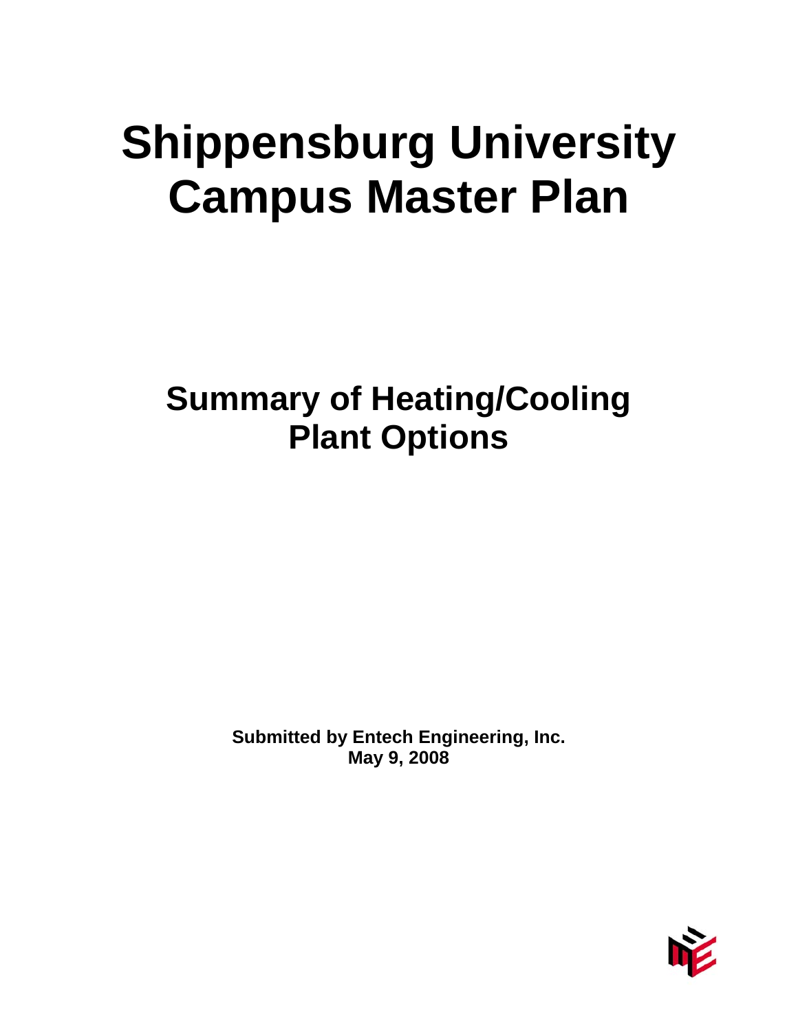# **Shippensburg University Campus Master Plan**

**Summary of Heating/Cooling Plant Options** 

> **Submitted by Entech Engineering, Inc. May 9, 2008**

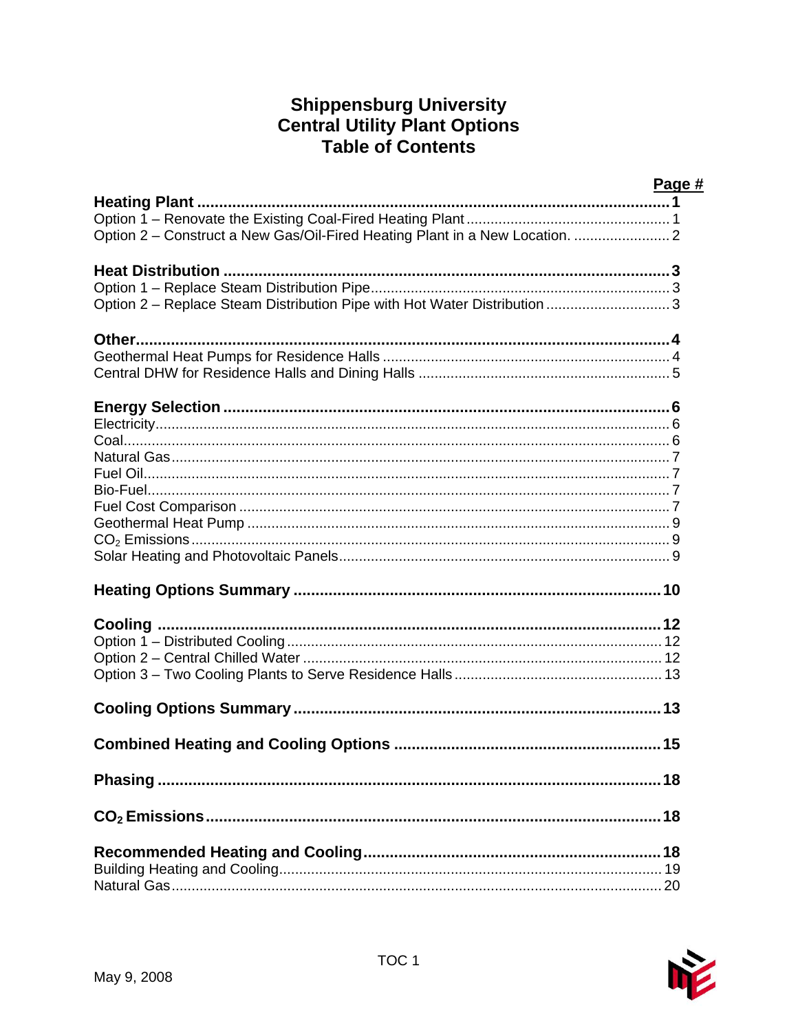# **Shippensburg University Central Utility Plant Options<br>Table of Contents**

|                                                                           | Page # |
|---------------------------------------------------------------------------|--------|
| <b>Heating Plant.</b>                                                     |        |
|                                                                           |        |
|                                                                           |        |
|                                                                           |        |
|                                                                           |        |
| Option 2 - Replace Steam Distribution Pipe with Hot Water Distribution  3 |        |
| <b>Other</b>                                                              |        |
|                                                                           |        |
|                                                                           |        |
|                                                                           |        |
|                                                                           |        |
|                                                                           |        |
|                                                                           |        |
|                                                                           |        |
|                                                                           |        |
|                                                                           |        |
|                                                                           |        |
|                                                                           |        |
|                                                                           |        |
|                                                                           |        |
|                                                                           |        |
|                                                                           |        |
|                                                                           |        |
|                                                                           |        |
|                                                                           |        |
|                                                                           |        |
|                                                                           |        |
|                                                                           |        |
|                                                                           |        |
|                                                                           |        |
|                                                                           |        |

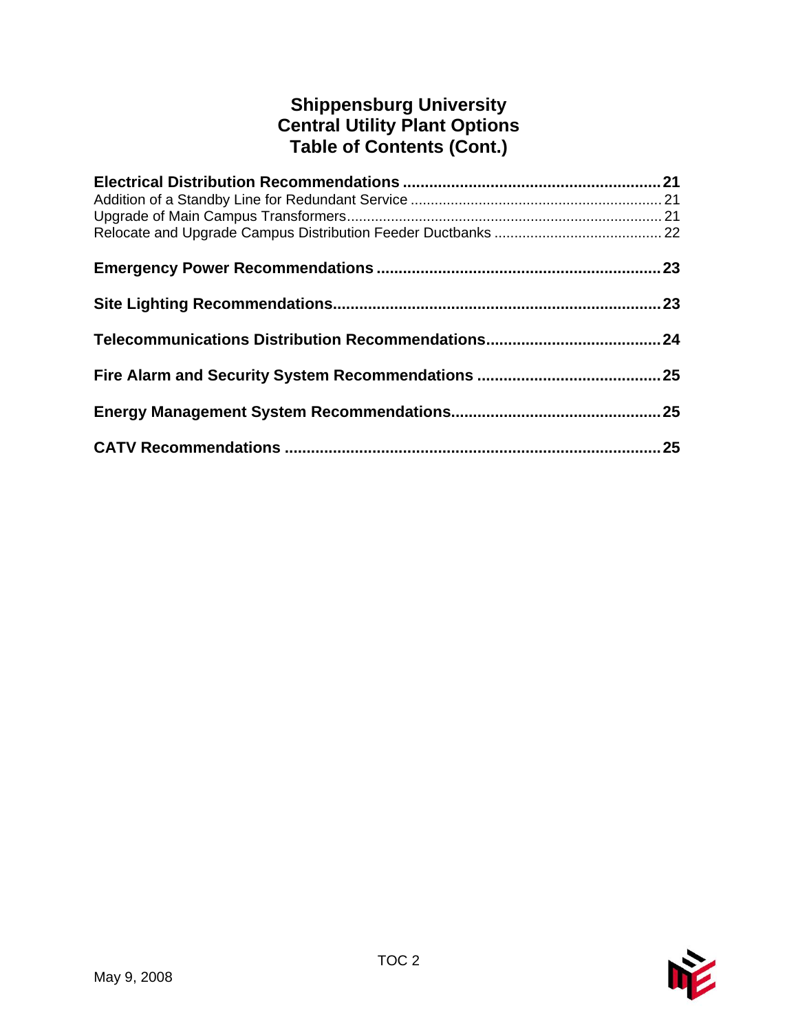# **Shippensburg University Central Utility Plant Options Table of Contents (Cont.)**

| 25 |
|----|

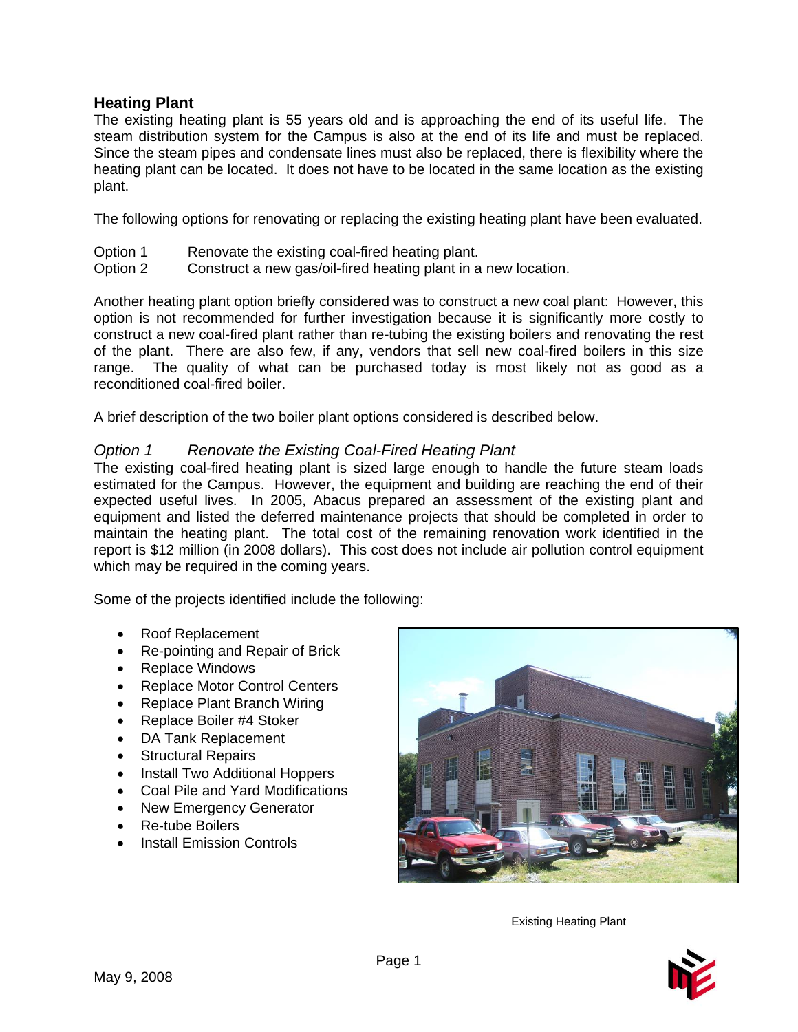# **Heating Plant**

The existing heating plant is 55 years old and is approaching the end of its useful life. The steam distribution system for the Campus is also at the end of its life and must be replaced. Since the steam pipes and condensate lines must also be replaced, there is flexibility where the heating plant can be located. It does not have to be located in the same location as the existing plant.

The following options for renovating or replacing the existing heating plant have been evaluated.

- Option 1 Renovate the existing coal-fired heating plant.
- Option 2 Construct a new gas/oil-fired heating plant in a new location.

Another heating plant option briefly considered was to construct a new coal plant: However, this option is not recommended for further investigation because it is significantly more costly to construct a new coal-fired plant rather than re-tubing the existing boilers and renovating the rest of the plant. There are also few, if any, vendors that sell new coal-fired boilers in this size range. The quality of what can be purchased today is most likely not as good as a reconditioned coal-fired boiler.

A brief description of the two boiler plant options considered is described below.

# *Option 1 Renovate the Existing Coal-Fired Heating Plant*

The existing coal-fired heating plant is sized large enough to handle the future steam loads estimated for the Campus. However, the equipment and building are reaching the end of their expected useful lives. In 2005, Abacus prepared an assessment of the existing plant and equipment and listed the deferred maintenance projects that should be completed in order to maintain the heating plant. The total cost of the remaining renovation work identified in the report is \$12 million (in 2008 dollars). This cost does not include air pollution control equipment which may be required in the coming years.

Some of the projects identified include the following:

- Roof Replacement
- Re-pointing and Repair of Brick
- Replace Windows
- Replace Motor Control Centers
- Replace Plant Branch Wiring
- Replace Boiler #4 Stoker
- DA Tank Replacement
- Structural Repairs
- Install Two Additional Hoppers
- Coal Pile and Yard Modifications
- New Emergency Generator
- Re-tube Boilers
- Install Emission Controls



Existing Heating Plant

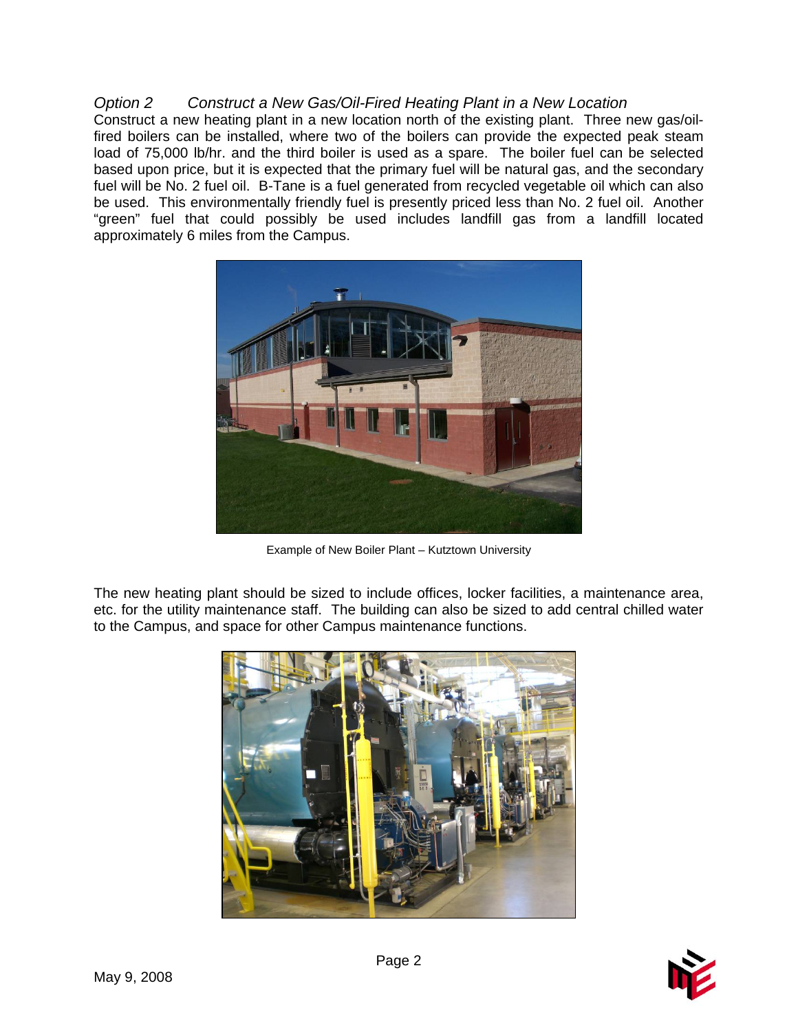#### *Option 2 Construct a New Gas/Oil-Fired Heating Plant in a New Location*

Construct a new heating plant in a new location north of the existing plant. Three new gas/oilfired boilers can be installed, where two of the boilers can provide the expected peak steam load of 75,000 lb/hr. and the third boiler is used as a spare. The boiler fuel can be selected based upon price, but it is expected that the primary fuel will be natural gas, and the secondary fuel will be No. 2 fuel oil. B-Tane is a fuel generated from recycled vegetable oil which can also be used. This environmentally friendly fuel is presently priced less than No. 2 fuel oil. Another "green" fuel that could possibly be used includes landfill gas from a landfill located approximately 6 miles from the Campus.



Example of New Boiler Plant – Kutztown University

The new heating plant should be sized to include offices, locker facilities, a maintenance area, etc. for the utility maintenance staff. The building can also be sized to add central chilled water to the Campus, and space for other Campus maintenance functions.



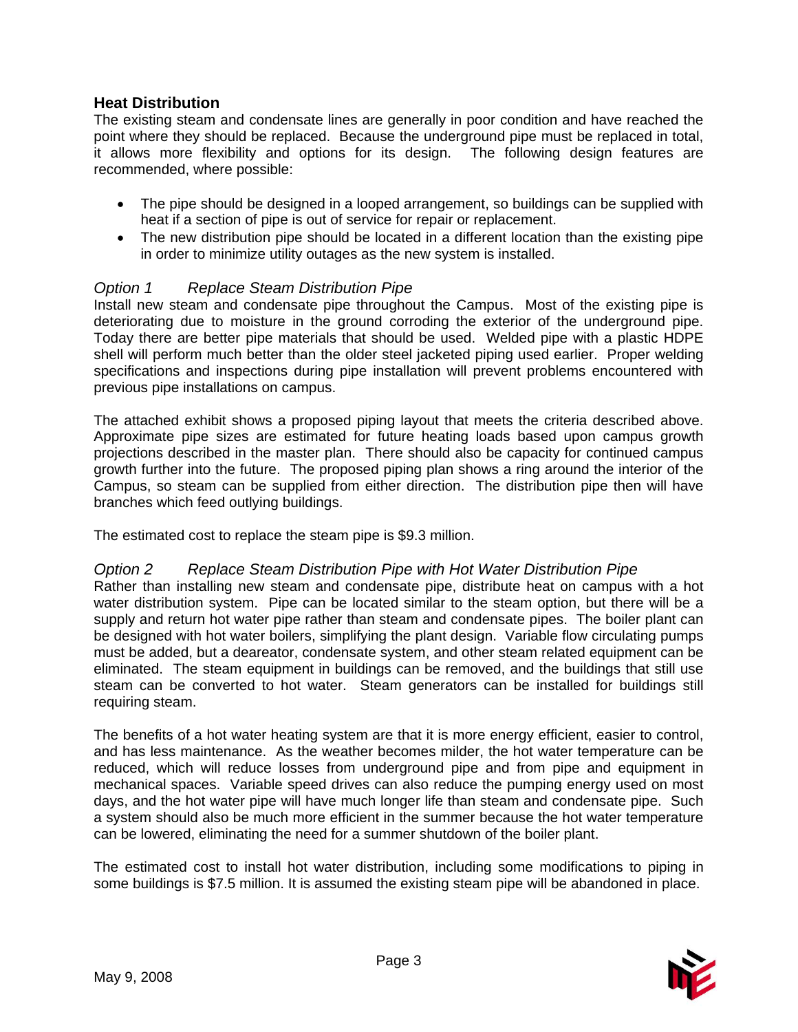# **Heat Distribution**

The existing steam and condensate lines are generally in poor condition and have reached the point where they should be replaced. Because the underground pipe must be replaced in total, it allows more flexibility and options for its design. The following design features are recommended, where possible:

- The pipe should be designed in a looped arrangement, so buildings can be supplied with heat if a section of pipe is out of service for repair or replacement.
- The new distribution pipe should be located in a different location than the existing pipe in order to minimize utility outages as the new system is installed.

# *Option 1 Replace Steam Distribution Pipe*

Install new steam and condensate pipe throughout the Campus. Most of the existing pipe is deteriorating due to moisture in the ground corroding the exterior of the underground pipe. Today there are better pipe materials that should be used. Welded pipe with a plastic HDPE shell will perform much better than the older steel jacketed piping used earlier. Proper welding specifications and inspections during pipe installation will prevent problems encountered with previous pipe installations on campus.

The attached exhibit shows a proposed piping layout that meets the criteria described above. Approximate pipe sizes are estimated for future heating loads based upon campus growth projections described in the master plan. There should also be capacity for continued campus growth further into the future. The proposed piping plan shows a ring around the interior of the Campus, so steam can be supplied from either direction. The distribution pipe then will have branches which feed outlying buildings.

The estimated cost to replace the steam pipe is \$9.3 million.

#### *Option 2 Replace Steam Distribution Pipe with Hot Water Distribution Pipe*

Rather than installing new steam and condensate pipe, distribute heat on campus with a hot water distribution system. Pipe can be located similar to the steam option, but there will be a supply and return hot water pipe rather than steam and condensate pipes. The boiler plant can be designed with hot water boilers, simplifying the plant design. Variable flow circulating pumps must be added, but a deareator, condensate system, and other steam related equipment can be eliminated. The steam equipment in buildings can be removed, and the buildings that still use steam can be converted to hot water. Steam generators can be installed for buildings still requiring steam.

The benefits of a hot water heating system are that it is more energy efficient, easier to control, and has less maintenance. As the weather becomes milder, the hot water temperature can be reduced, which will reduce losses from underground pipe and from pipe and equipment in mechanical spaces. Variable speed drives can also reduce the pumping energy used on most days, and the hot water pipe will have much longer life than steam and condensate pipe. Such a system should also be much more efficient in the summer because the hot water temperature can be lowered, eliminating the need for a summer shutdown of the boiler plant.

The estimated cost to install hot water distribution, including some modifications to piping in some buildings is \$7.5 million. It is assumed the existing steam pipe will be abandoned in place.

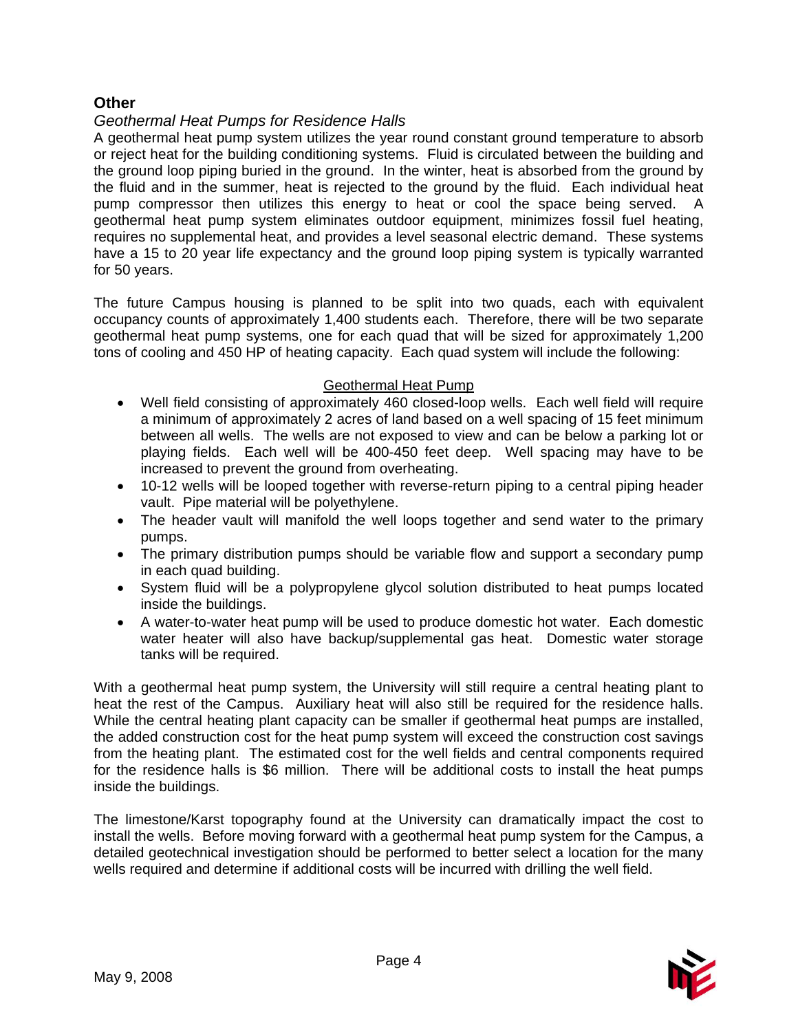# **Other**

#### *Geothermal Heat Pumps for Residence Halls*

A geothermal heat pump system utilizes the year round constant ground temperature to absorb or reject heat for the building conditioning systems. Fluid is circulated between the building and the ground loop piping buried in the ground. In the winter, heat is absorbed from the ground by the fluid and in the summer, heat is rejected to the ground by the fluid. Each individual heat pump compressor then utilizes this energy to heat or cool the space being served. A geothermal heat pump system eliminates outdoor equipment, minimizes fossil fuel heating, requires no supplemental heat, and provides a level seasonal electric demand. These systems have a 15 to 20 year life expectancy and the ground loop piping system is typically warranted for 50 years.

The future Campus housing is planned to be split into two quads, each with equivalent occupancy counts of approximately 1,400 students each. Therefore, there will be two separate geothermal heat pump systems, one for each quad that will be sized for approximately 1,200 tons of cooling and 450 HP of heating capacity. Each quad system will include the following:

#### Geothermal Heat Pump

- Well field consisting of approximately 460 closed-loop wells. Each well field will require a minimum of approximately 2 acres of land based on a well spacing of 15 feet minimum between all wells. The wells are not exposed to view and can be below a parking lot or playing fields. Each well will be 400-450 feet deep. Well spacing may have to be increased to prevent the ground from overheating.
- 10-12 wells will be looped together with reverse-return piping to a central piping header vault. Pipe material will be polyethylene.
- The header vault will manifold the well loops together and send water to the primary pumps.
- The primary distribution pumps should be variable flow and support a secondary pump in each quad building.
- System fluid will be a polypropylene glycol solution distributed to heat pumps located inside the buildings.
- A water-to-water heat pump will be used to produce domestic hot water. Each domestic water heater will also have backup/supplemental gas heat. Domestic water storage tanks will be required.

With a geothermal heat pump system, the University will still require a central heating plant to heat the rest of the Campus. Auxiliary heat will also still be required for the residence halls. While the central heating plant capacity can be smaller if geothermal heat pumps are installed, the added construction cost for the heat pump system will exceed the construction cost savings from the heating plant. The estimated cost for the well fields and central components required for the residence halls is \$6 million. There will be additional costs to install the heat pumps inside the buildings.

The limestone/Karst topography found at the University can dramatically impact the cost to install the wells. Before moving forward with a geothermal heat pump system for the Campus, a detailed geotechnical investigation should be performed to better select a location for the many wells required and determine if additional costs will be incurred with drilling the well field.

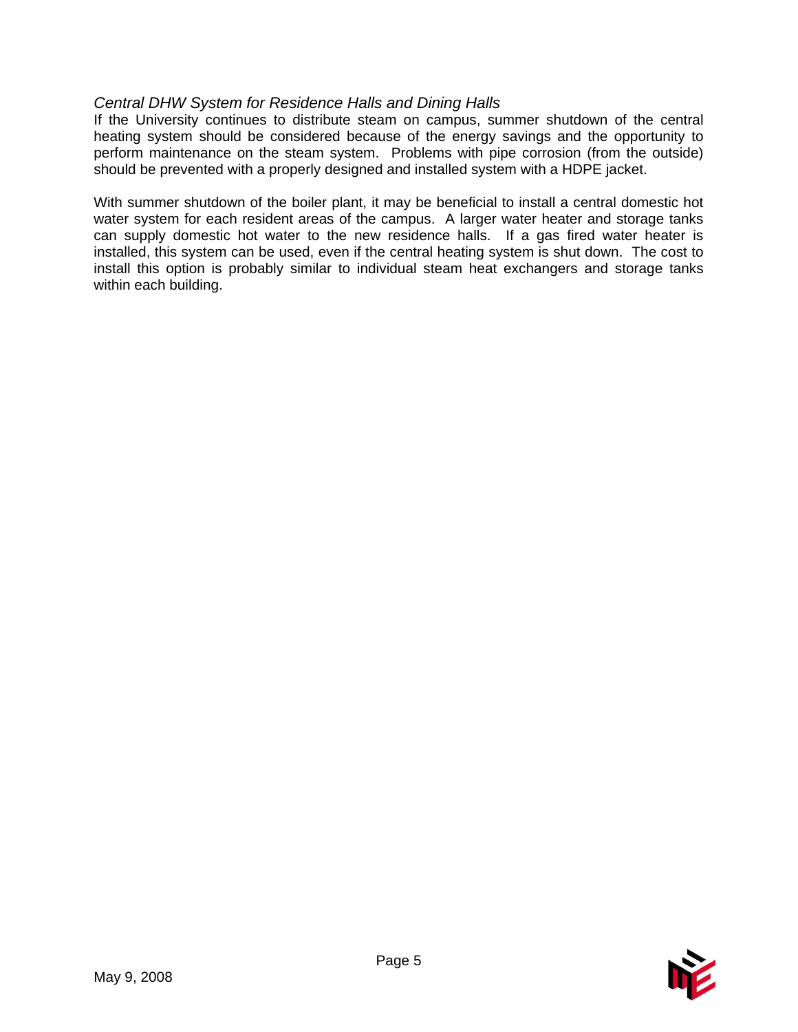# *Central DHW System for Residence Halls and Dining Halls*

If the University continues to distribute steam on campus, summer shutdown of the central heating system should be considered because of the energy savings and the opportunity to perform maintenance on the steam system. Problems with pipe corrosion (from the outside) should be prevented with a properly designed and installed system with a HDPE jacket.

With summer shutdown of the boiler plant, it may be beneficial to install a central domestic hot water system for each resident areas of the campus. A larger water heater and storage tanks can supply domestic hot water to the new residence halls. If a gas fired water heater is installed, this system can be used, even if the central heating system is shut down. The cost to install this option is probably similar to individual steam heat exchangers and storage tanks within each building.

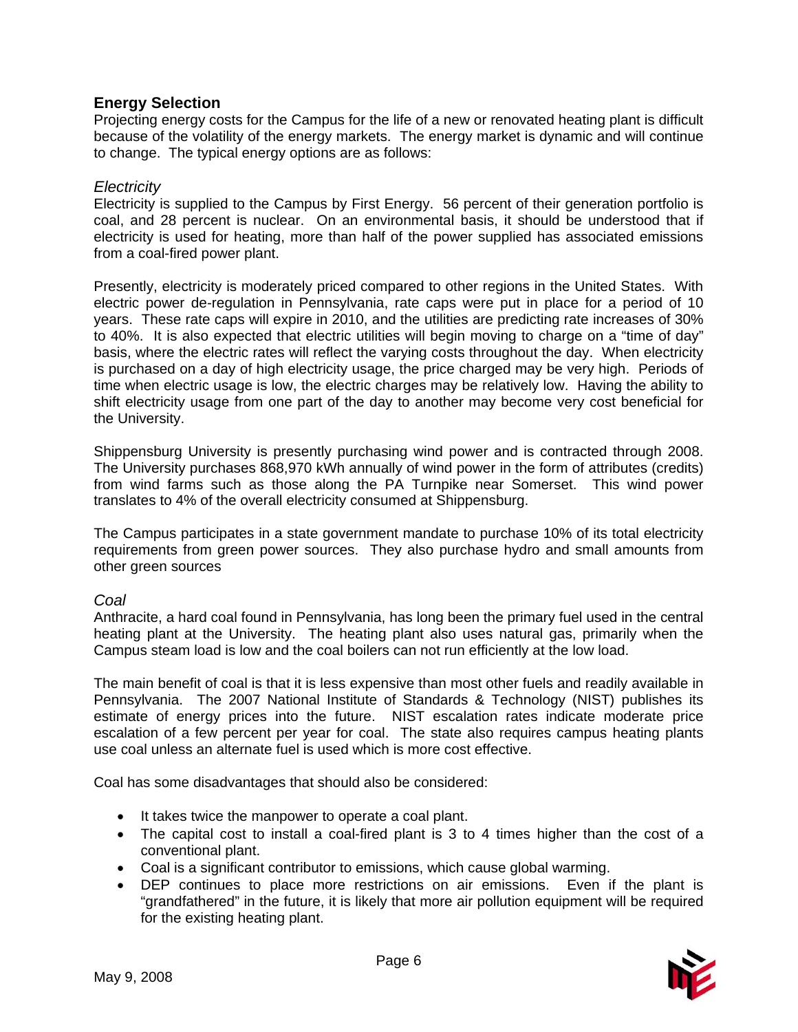#### **Energy Selection**

Projecting energy costs for the Campus for the life of a new or renovated heating plant is difficult because of the volatility of the energy markets. The energy market is dynamic and will continue to change. The typical energy options are as follows:

#### *Electricity*

Electricity is supplied to the Campus by First Energy. 56 percent of their generation portfolio is coal, and 28 percent is nuclear. On an environmental basis, it should be understood that if electricity is used for heating, more than half of the power supplied has associated emissions from a coal-fired power plant.

Presently, electricity is moderately priced compared to other regions in the United States. With electric power de-regulation in Pennsylvania, rate caps were put in place for a period of 10 years. These rate caps will expire in 2010, and the utilities are predicting rate increases of 30% to 40%. It is also expected that electric utilities will begin moving to charge on a "time of day" basis, where the electric rates will reflect the varying costs throughout the day. When electricity is purchased on a day of high electricity usage, the price charged may be very high. Periods of time when electric usage is low, the electric charges may be relatively low. Having the ability to shift electricity usage from one part of the day to another may become very cost beneficial for the University.

Shippensburg University is presently purchasing wind power and is contracted through 2008. The University purchases 868,970 kWh annually of wind power in the form of attributes (credits) from wind farms such as those along the PA Turnpike near Somerset. This wind power translates to 4% of the overall electricity consumed at Shippensburg.

The Campus participates in a state government mandate to purchase 10% of its total electricity requirements from green power sources. They also purchase hydro and small amounts from other green sources

#### *Coal*

Anthracite, a hard coal found in Pennsylvania, has long been the primary fuel used in the central heating plant at the University. The heating plant also uses natural gas, primarily when the Campus steam load is low and the coal boilers can not run efficiently at the low load.

The main benefit of coal is that it is less expensive than most other fuels and readily available in Pennsylvania. The 2007 National Institute of Standards & Technology (NIST) publishes its estimate of energy prices into the future. NIST escalation rates indicate moderate price escalation of a few percent per year for coal. The state also requires campus heating plants use coal unless an alternate fuel is used which is more cost effective.

Coal has some disadvantages that should also be considered:

- It takes twice the manpower to operate a coal plant.
- The capital cost to install a coal-fired plant is 3 to 4 times higher than the cost of a conventional plant.
- Coal is a significant contributor to emissions, which cause global warming.
- DEP continues to place more restrictions on air emissions. Even if the plant is "grandfathered" in the future, it is likely that more air pollution equipment will be required for the existing heating plant.

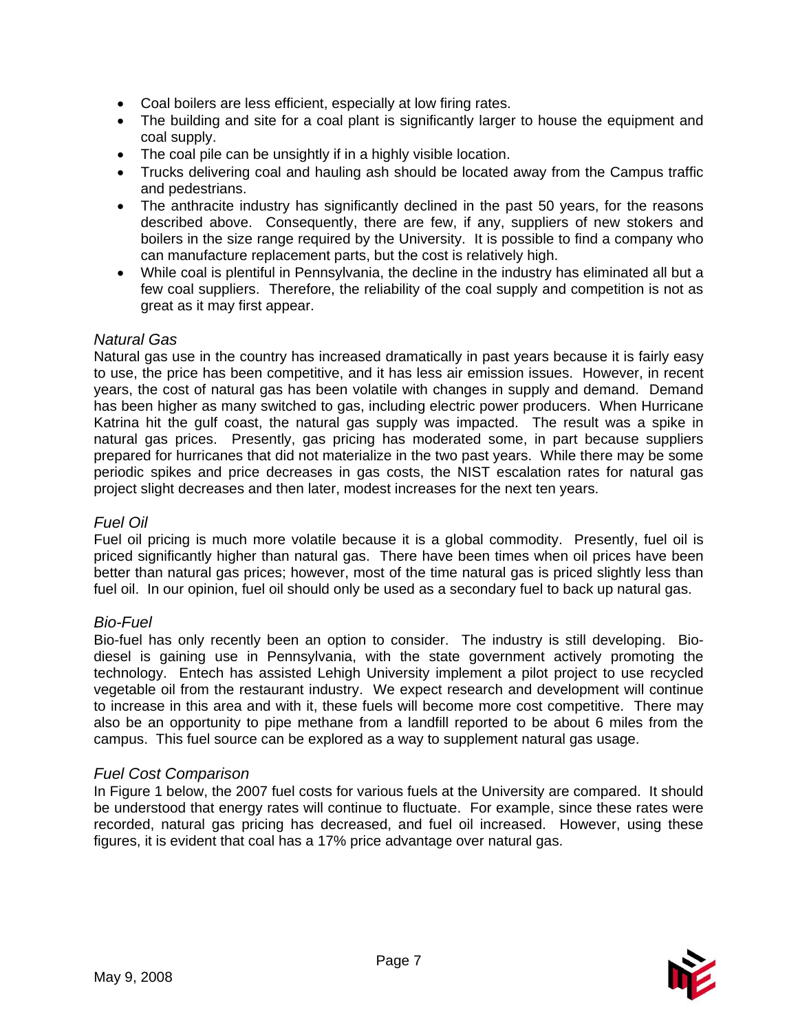- Coal boilers are less efficient, especially at low firing rates.
- The building and site for a coal plant is significantly larger to house the equipment and coal supply.
- The coal pile can be unsightly if in a highly visible location.
- Trucks delivering coal and hauling ash should be located away from the Campus traffic and pedestrians.
- The anthracite industry has significantly declined in the past 50 years, for the reasons described above. Consequently, there are few, if any, suppliers of new stokers and boilers in the size range required by the University. It is possible to find a company who can manufacture replacement parts, but the cost is relatively high.
- While coal is plentiful in Pennsylvania, the decline in the industry has eliminated all but a few coal suppliers. Therefore, the reliability of the coal supply and competition is not as great as it may first appear.

#### *Natural Gas*

Natural gas use in the country has increased dramatically in past years because it is fairly easy to use, the price has been competitive, and it has less air emission issues. However, in recent years, the cost of natural gas has been volatile with changes in supply and demand. Demand has been higher as many switched to gas, including electric power producers. When Hurricane Katrina hit the gulf coast, the natural gas supply was impacted. The result was a spike in natural gas prices. Presently, gas pricing has moderated some, in part because suppliers prepared for hurricanes that did not materialize in the two past years. While there may be some periodic spikes and price decreases in gas costs, the NIST escalation rates for natural gas project slight decreases and then later, modest increases for the next ten years.

#### *Fuel Oil*

Fuel oil pricing is much more volatile because it is a global commodity. Presently, fuel oil is priced significantly higher than natural gas. There have been times when oil prices have been better than natural gas prices; however, most of the time natural gas is priced slightly less than fuel oil. In our opinion, fuel oil should only be used as a secondary fuel to back up natural gas.

#### *Bio-Fuel*

Bio-fuel has only recently been an option to consider. The industry is still developing. Biodiesel is gaining use in Pennsylvania, with the state government actively promoting the technology. Entech has assisted Lehigh University implement a pilot project to use recycled vegetable oil from the restaurant industry. We expect research and development will continue to increase in this area and with it, these fuels will become more cost competitive. There may also be an opportunity to pipe methane from a landfill reported to be about 6 miles from the campus. This fuel source can be explored as a way to supplement natural gas usage.

#### *Fuel Cost Comparison*

In Figure 1 below, the 2007 fuel costs for various fuels at the University are compared. It should be understood that energy rates will continue to fluctuate. For example, since these rates were recorded, natural gas pricing has decreased, and fuel oil increased. However, using these figures, it is evident that coal has a 17% price advantage over natural gas.

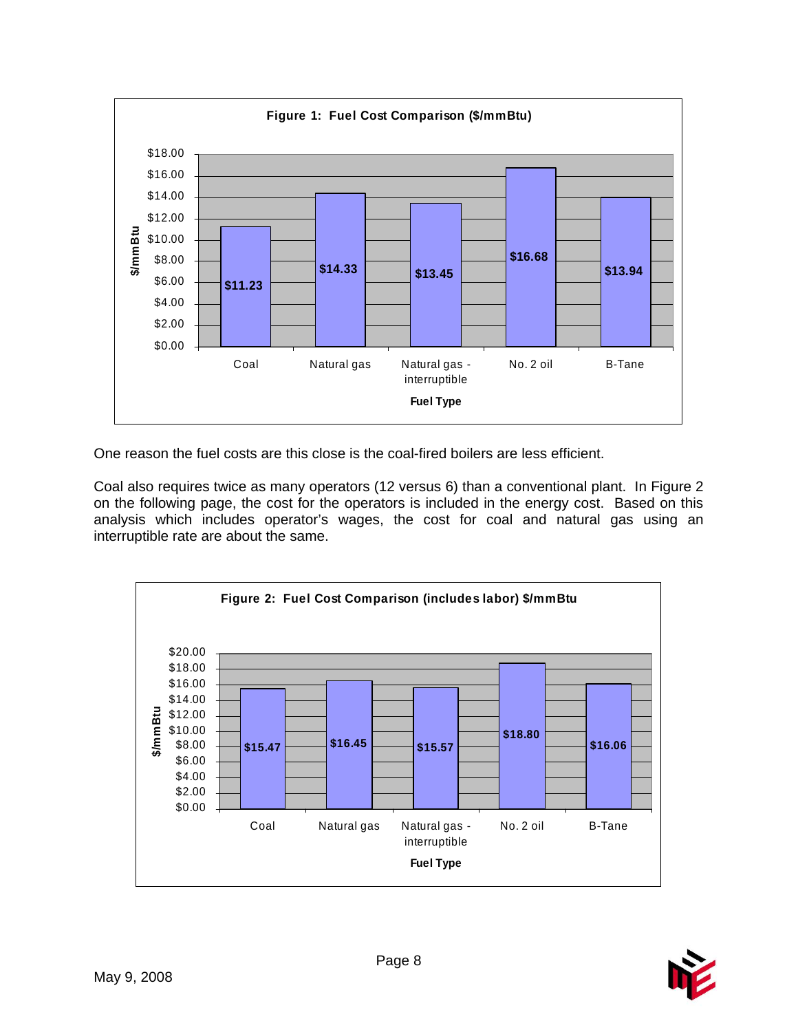

One reason the fuel costs are this close is the coal-fired boilers are less efficient.

Coal also requires twice as many operators (12 versus 6) than a conventional plant. In Figure 2 on the following page, the cost for the operators is included in the energy cost. Based on this analysis which includes operator's wages, the cost for coal and natural gas using an interruptible rate are about the same.



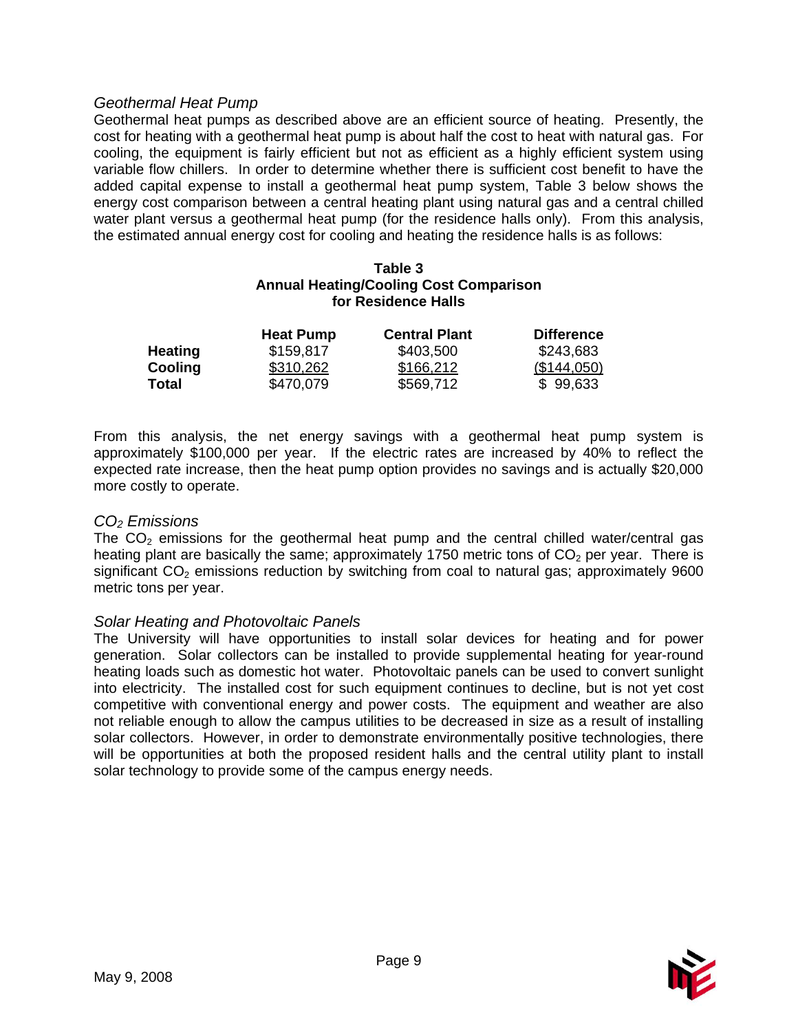#### *Geothermal Heat Pump*

Geothermal heat pumps as described above are an efficient source of heating. Presently, the cost for heating with a geothermal heat pump is about half the cost to heat with natural gas. For cooling, the equipment is fairly efficient but not as efficient as a highly efficient system using variable flow chillers. In order to determine whether there is sufficient cost benefit to have the added capital expense to install a geothermal heat pump system, Table 3 below shows the energy cost comparison between a central heating plant using natural gas and a central chilled water plant versus a geothermal heat pump (for the residence halls only). From this analysis, the estimated annual energy cost for cooling and heating the residence halls is as follows:

#### **Table 3 Annual Heating/Cooling Cost Comparison for Residence Halls**

|                | <b>Heat Pump</b> | <b>Central Plant</b> | <b>Difference</b> |
|----------------|------------------|----------------------|-------------------|
| <b>Heating</b> | \$159,817        | \$403,500            | \$243,683         |
| Cooling        | \$310,262        | \$166,212            | (\$144,050)       |
| Total          | \$470,079        | \$569,712            | \$99,633          |

From this analysis, the net energy savings with a geothermal heat pump system is approximately \$100,000 per year. If the electric rates are increased by 40% to reflect the expected rate increase, then the heat pump option provides no savings and is actually \$20,000 more costly to operate.

#### *CO2 Emissions*

The  $CO<sub>2</sub>$  emissions for the geothermal heat pump and the central chilled water/central gas heating plant are basically the same; approximately 1750 metric tons of  $CO<sub>2</sub>$  per year. There is significant  $CO<sub>2</sub>$  emissions reduction by switching from coal to natural gas; approximately 9600 metric tons per year.

#### *Solar Heating and Photovoltaic Panels*

The University will have opportunities to install solar devices for heating and for power generation. Solar collectors can be installed to provide supplemental heating for year-round heating loads such as domestic hot water. Photovoltaic panels can be used to convert sunlight into electricity. The installed cost for such equipment continues to decline, but is not yet cost competitive with conventional energy and power costs. The equipment and weather are also not reliable enough to allow the campus utilities to be decreased in size as a result of installing solar collectors. However, in order to demonstrate environmentally positive technologies, there will be opportunities at both the proposed resident halls and the central utility plant to install solar technology to provide some of the campus energy needs.

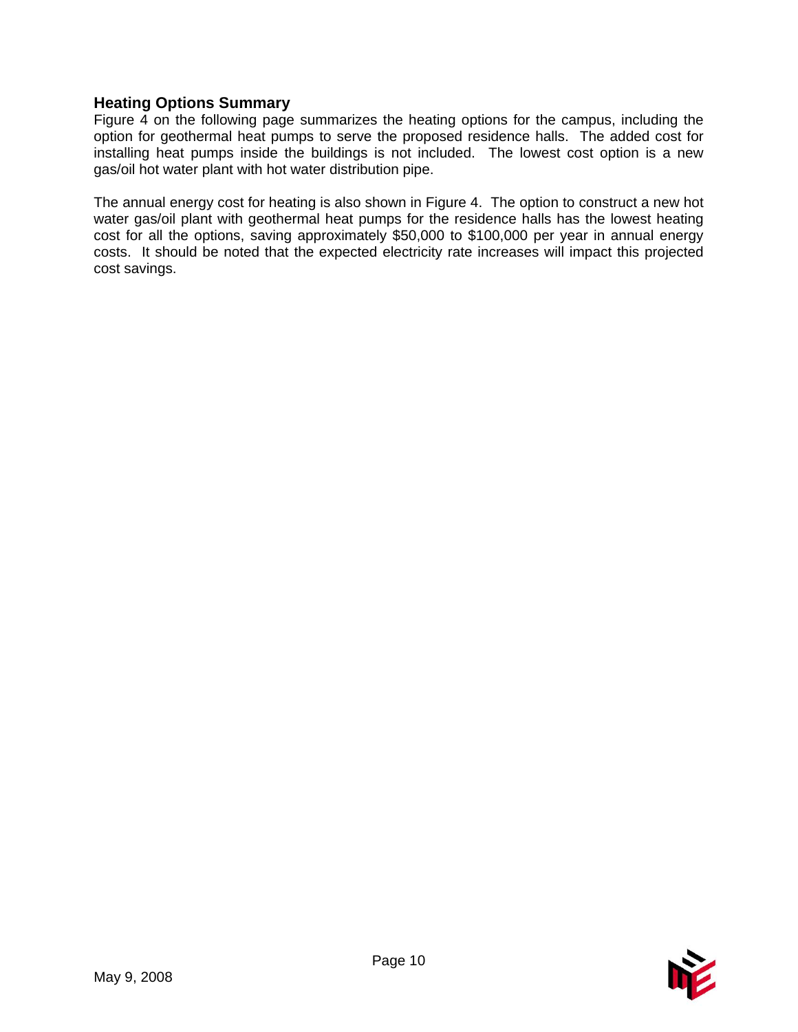# **Heating Options Summary**

Figure 4 on the following page summarizes the heating options for the campus, including the option for geothermal heat pumps to serve the proposed residence halls. The added cost for installing heat pumps inside the buildings is not included. The lowest cost option is a new gas/oil hot water plant with hot water distribution pipe.

The annual energy cost for heating is also shown in Figure 4. The option to construct a new hot water gas/oil plant with geothermal heat pumps for the residence halls has the lowest heating cost for all the options, saving approximately \$50,000 to \$100,000 per year in annual energy costs. It should be noted that the expected electricity rate increases will impact this projected cost savings.

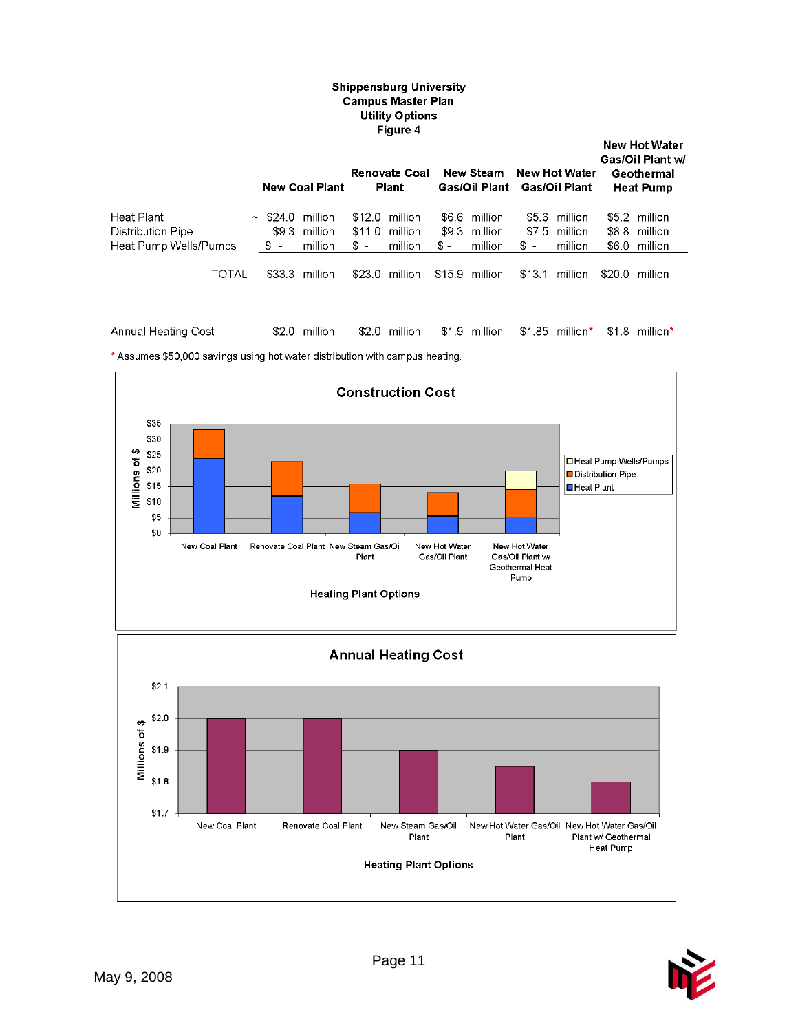#### **Shippensburg University Campus Master Plan** Utility Options Figure 4

|                                                          |                         | <b>New Coal Plant</b>                       |                           | <b>Renovate Coal</b><br><b>Plant</b> |               | New Steam<br>Gas/Oil Plant          |                | New Hot Water<br>Gas/Oil Plant      |        | <b>New Hot Water</b><br>Gas/Oil Plant w/<br>Geothermal<br><b>Heat Pump</b> |
|----------------------------------------------------------|-------------------------|---------------------------------------------|---------------------------|--------------------------------------|---------------|-------------------------------------|----------------|-------------------------------------|--------|----------------------------------------------------------------------------|
| Heat Plant<br>Distribution Pipe<br>Heat Pump Wells/Pumps | \$9.3<br>$\mathbb{S}$ – | $\sim$ \$24.0 million<br>million<br>million | \$12.0<br>\$11.0<br>$s -$ | million<br>million<br>million        | \$9.3<br>\$ - | \$6.6 million<br>million<br>million | \$7.5<br>$s -$ | \$5.6 million<br>million<br>million |        | \$5.2 million<br>\$8.8 million<br>\$6.0 million                            |
| TOTAL                                                    | \$33.3                  | million                                     |                           | \$23.0 million                       | \$15.9        | million                             | \$13.1         | million                             | \$20.0 | million                                                                    |

Annual Heating Cost \$2.0 million \$2.0 million \$1.9 million \$1.85 million\* \$1.8 million\*

\* Assumes \$50,000 savings using hot water distribution with campus heating.



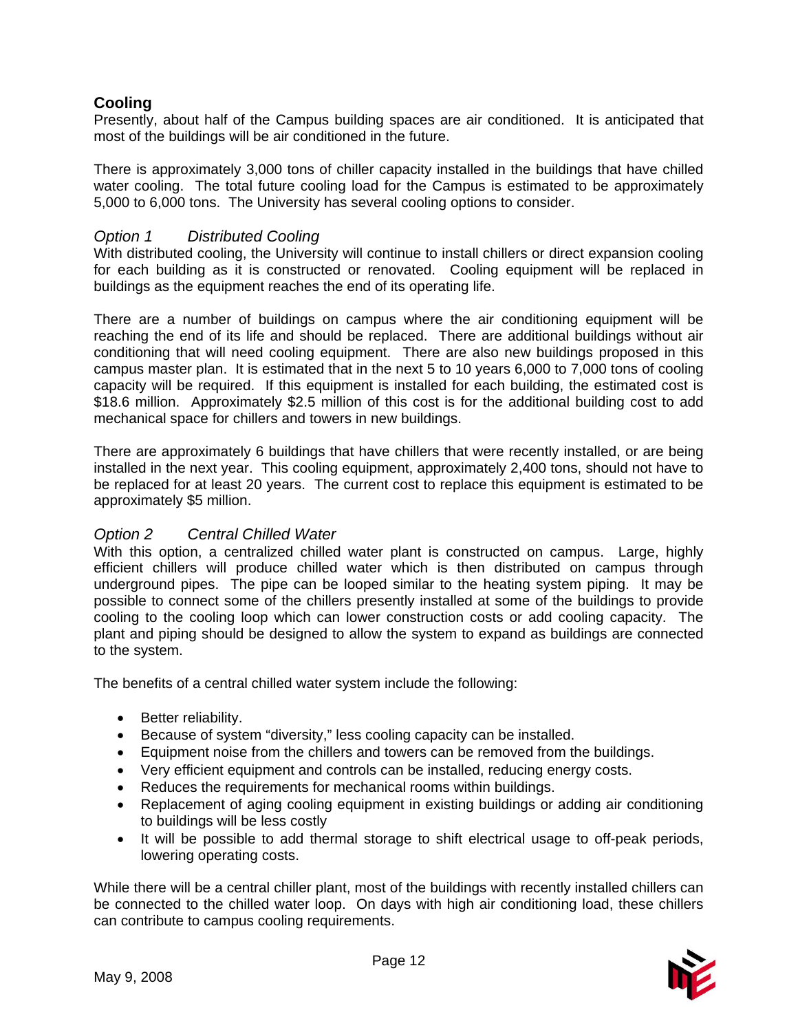# **Cooling**

Presently, about half of the Campus building spaces are air conditioned. It is anticipated that most of the buildings will be air conditioned in the future.

There is approximately 3,000 tons of chiller capacity installed in the buildings that have chilled water cooling. The total future cooling load for the Campus is estimated to be approximately 5,000 to 6,000 tons. The University has several cooling options to consider.

# *Option 1 Distributed Cooling*

With distributed cooling, the University will continue to install chillers or direct expansion cooling for each building as it is constructed or renovated. Cooling equipment will be replaced in buildings as the equipment reaches the end of its operating life.

There are a number of buildings on campus where the air conditioning equipment will be reaching the end of its life and should be replaced. There are additional buildings without air conditioning that will need cooling equipment. There are also new buildings proposed in this campus master plan. It is estimated that in the next 5 to 10 years 6,000 to 7,000 tons of cooling capacity will be required. If this equipment is installed for each building, the estimated cost is \$18.6 million. Approximately \$2.5 million of this cost is for the additional building cost to add mechanical space for chillers and towers in new buildings.

There are approximately 6 buildings that have chillers that were recently installed, or are being installed in the next year. This cooling equipment, approximately 2,400 tons, should not have to be replaced for at least 20 years. The current cost to replace this equipment is estimated to be approximately \$5 million.

# *Option 2 Central Chilled Water*

With this option, a centralized chilled water plant is constructed on campus. Large, highly efficient chillers will produce chilled water which is then distributed on campus through underground pipes. The pipe can be looped similar to the heating system piping. It may be possible to connect some of the chillers presently installed at some of the buildings to provide cooling to the cooling loop which can lower construction costs or add cooling capacity. The plant and piping should be designed to allow the system to expand as buildings are connected to the system.

The benefits of a central chilled water system include the following:

- Better reliability.
- Because of system "diversity," less cooling capacity can be installed.
- Equipment noise from the chillers and towers can be removed from the buildings.
- Very efficient equipment and controls can be installed, reducing energy costs.
- Reduces the requirements for mechanical rooms within buildings.
- Replacement of aging cooling equipment in existing buildings or adding air conditioning to buildings will be less costly
- It will be possible to add thermal storage to shift electrical usage to off-peak periods, lowering operating costs.

While there will be a central chiller plant, most of the buildings with recently installed chillers can be connected to the chilled water loop. On days with high air conditioning load, these chillers can contribute to campus cooling requirements.

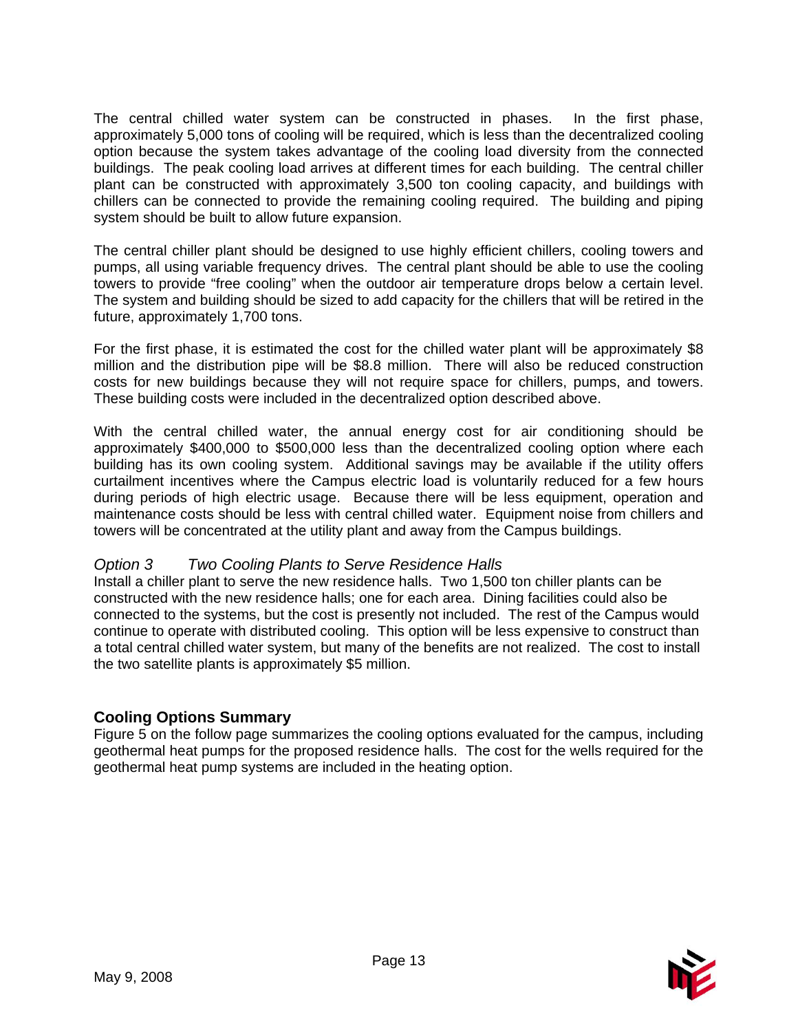The central chilled water system can be constructed in phases. In the first phase, approximately 5,000 tons of cooling will be required, which is less than the decentralized cooling option because the system takes advantage of the cooling load diversity from the connected buildings. The peak cooling load arrives at different times for each building. The central chiller plant can be constructed with approximately 3,500 ton cooling capacity, and buildings with chillers can be connected to provide the remaining cooling required. The building and piping system should be built to allow future expansion.

The central chiller plant should be designed to use highly efficient chillers, cooling towers and pumps, all using variable frequency drives. The central plant should be able to use the cooling towers to provide "free cooling" when the outdoor air temperature drops below a certain level. The system and building should be sized to add capacity for the chillers that will be retired in the future, approximately 1,700 tons.

For the first phase, it is estimated the cost for the chilled water plant will be approximately \$8 million and the distribution pipe will be \$8.8 million. There will also be reduced construction costs for new buildings because they will not require space for chillers, pumps, and towers. These building costs were included in the decentralized option described above.

With the central chilled water, the annual energy cost for air conditioning should be approximately \$400,000 to \$500,000 less than the decentralized cooling option where each building has its own cooling system. Additional savings may be available if the utility offers curtailment incentives where the Campus electric load is voluntarily reduced for a few hours during periods of high electric usage. Because there will be less equipment, operation and maintenance costs should be less with central chilled water. Equipment noise from chillers and towers will be concentrated at the utility plant and away from the Campus buildings.

# *Option 3 Two Cooling Plants to Serve Residence Halls*

Install a chiller plant to serve the new residence halls. Two 1,500 ton chiller plants can be constructed with the new residence halls; one for each area. Dining facilities could also be connected to the systems, but the cost is presently not included. The rest of the Campus would continue to operate with distributed cooling. This option will be less expensive to construct than a total central chilled water system, but many of the benefits are not realized. The cost to install the two satellite plants is approximately \$5 million.

# **Cooling Options Summary**

Figure 5 on the follow page summarizes the cooling options evaluated for the campus, including geothermal heat pumps for the proposed residence halls. The cost for the wells required for the geothermal heat pump systems are included in the heating option.

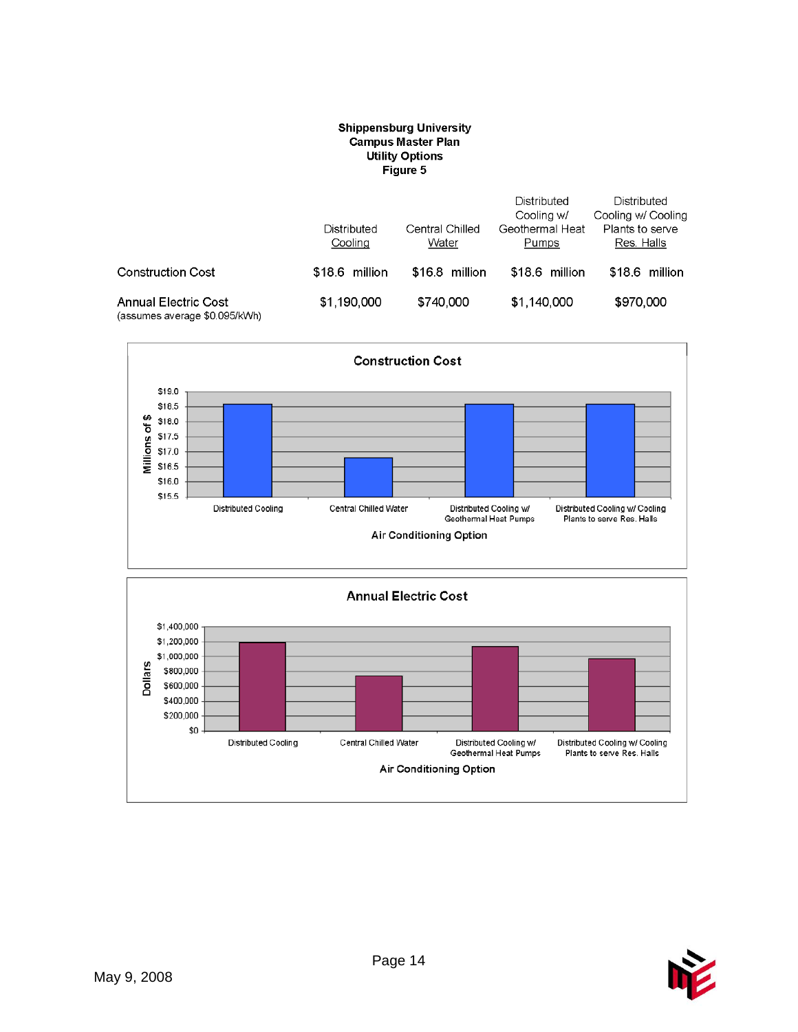#### **Shippensburg University Campus Master Plan Utility Options** Figure 5

|                                                              | Distributed<br>Cooling | Central Chilled<br>Water | Distributed<br>Cooling w/<br>Geothermal Heat<br>Pumps | Distributed<br>Cooling w/ Cooling<br>Plants to serve<br>Res. Halls |  |
|--------------------------------------------------------------|------------------------|--------------------------|-------------------------------------------------------|--------------------------------------------------------------------|--|
| <b>Construction Cost</b>                                     | \$18.6 million         | \$16.8 million           | \$18.6 million                                        | \$18.6 million                                                     |  |
| <b>Annual Electric Cost</b><br>(assumes average \$0.095/kWh) | \$1,190,000            | \$740,000                | \$1,140,000                                           | \$970,000                                                          |  |





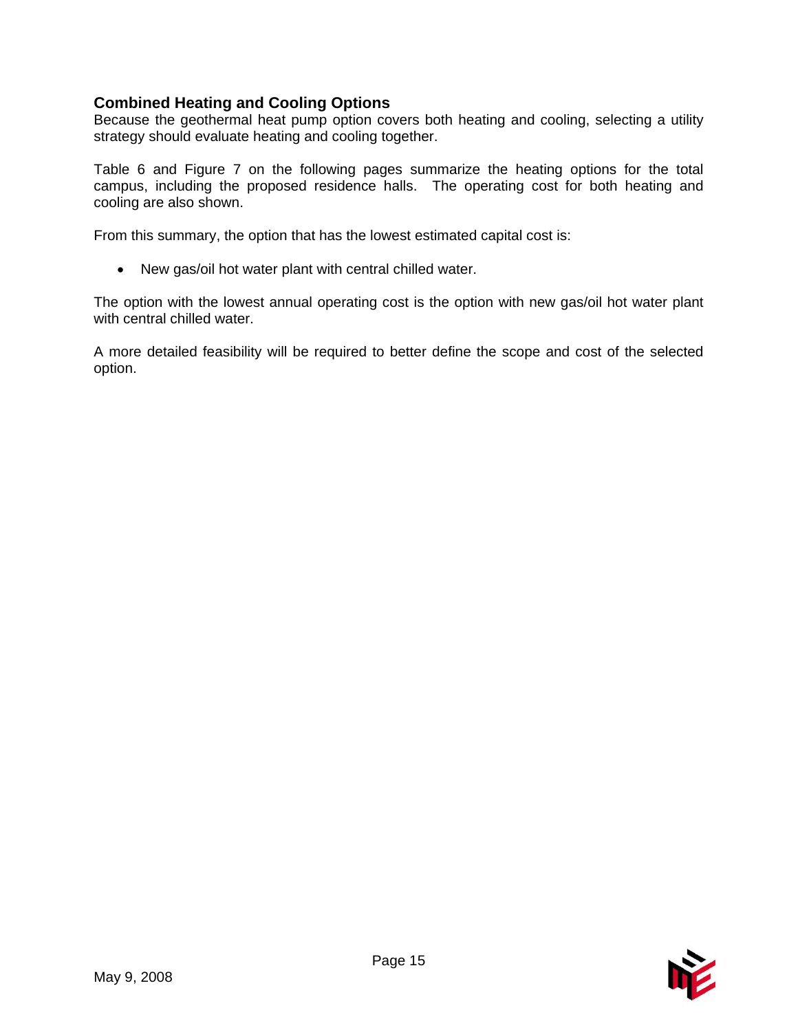# **Combined Heating and Cooling Options**

Because the geothermal heat pump option covers both heating and cooling, selecting a utility strategy should evaluate heating and cooling together.

Table 6 and Figure 7 on the following pages summarize the heating options for the total campus, including the proposed residence halls. The operating cost for both heating and cooling are also shown.

From this summary, the option that has the lowest estimated capital cost is:

• New gas/oil hot water plant with central chilled water.

The option with the lowest annual operating cost is the option with new gas/oil hot water plant with central chilled water.

A more detailed feasibility will be required to better define the scope and cost of the selected option.

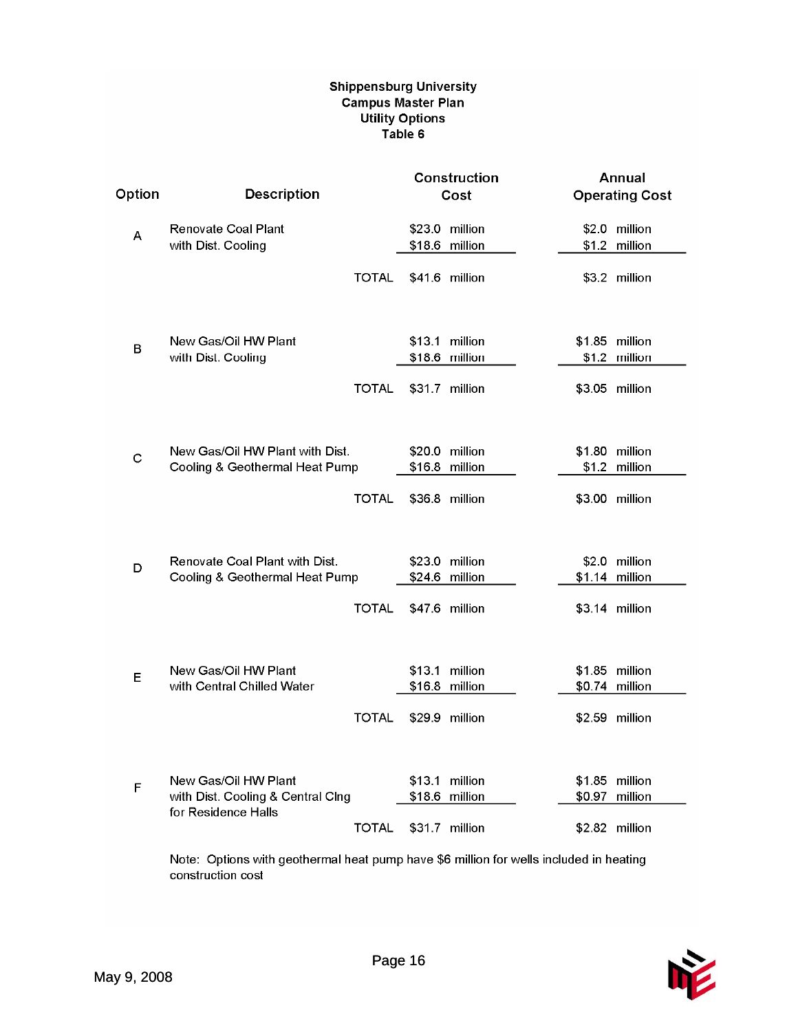#### **Shippensburg University** Campus Master Plan **Utility Options** Table 6

|             |                                                                   |              |                | Construction                     | Annual                           |  |  |
|-------------|-------------------------------------------------------------------|--------------|----------------|----------------------------------|----------------------------------|--|--|
| Option      | <b>Description</b>                                                |              |                | Cost                             | <b>Operating Cost</b>            |  |  |
| А           | Renovate Coal Plant<br>with Dist. Cooling                         |              |                | \$23.0 million<br>\$18.6 million | \$2.0 million<br>\$1.2 million   |  |  |
|             |                                                                   | <b>TOTAL</b> | \$41.6 million |                                  | \$3.2 million                    |  |  |
| в           | New Gas/Oil HW Plant<br>with Dist. Cooling                        |              | \$13.1 million | \$18.6 million                   | \$1.85 million<br>\$1.2 million  |  |  |
|             |                                                                   | <b>TOTAL</b> | \$31.7 million |                                  | \$3.05 million                   |  |  |
| $\mathbf C$ | New Gas/Oil HW Plant with Dist.<br>Cooling & Geothermal Heat Pump |              | \$20.0 million | \$16.8 million                   | \$1.80 million<br>\$1.2 million  |  |  |
|             |                                                                   | <b>TOTAL</b> |                | \$36.8 million                   | \$3.00 million                   |  |  |
| D           | Renovate Coal Plant with Dist.<br>Cooling & Geothermal Heat Pump  |              |                | \$23.0 million<br>\$24.6 million | \$2.0 million<br>\$1.14 million  |  |  |
|             |                                                                   | <b>TOTAL</b> |                | \$47.6 million                   | \$3.14 million                   |  |  |
|             | New Gas/Oil HW Plant                                              |              |                | \$13.1 million                   | \$1.85 million                   |  |  |
| Е           | with Central Chilled Water                                        |              | \$16.8 million |                                  | \$0.74 million                   |  |  |
|             |                                                                   | <b>TOTAL</b> |                | \$29.9 million                   | \$2.59 million                   |  |  |
| F           | New Gas/Oil HW Plant<br>with Dist. Cooling & Central Clng         |              | \$18.6 million | \$13.1 million                   | \$1.85 million<br>\$0.97 million |  |  |
|             | for Residence Halls                                               | <b>TOTAL</b> | \$31.7 million |                                  | \$2.82 million                   |  |  |

Note: Options with geothermal heat pump have \$6 million for wells included in heating construction cost

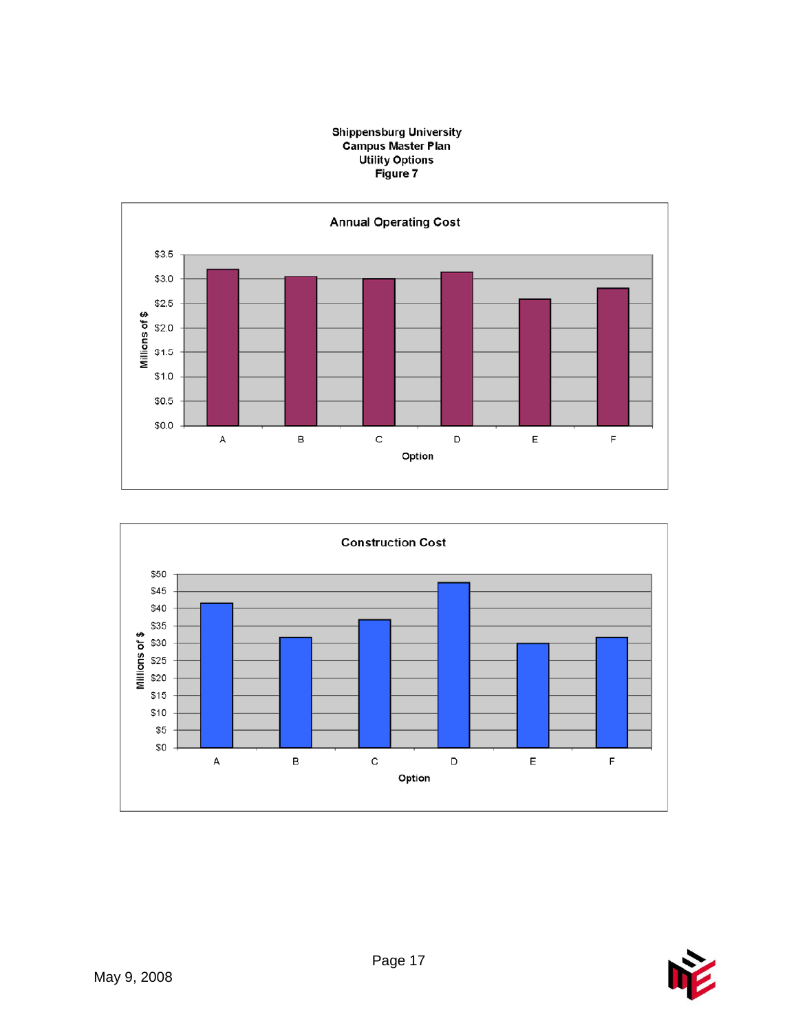





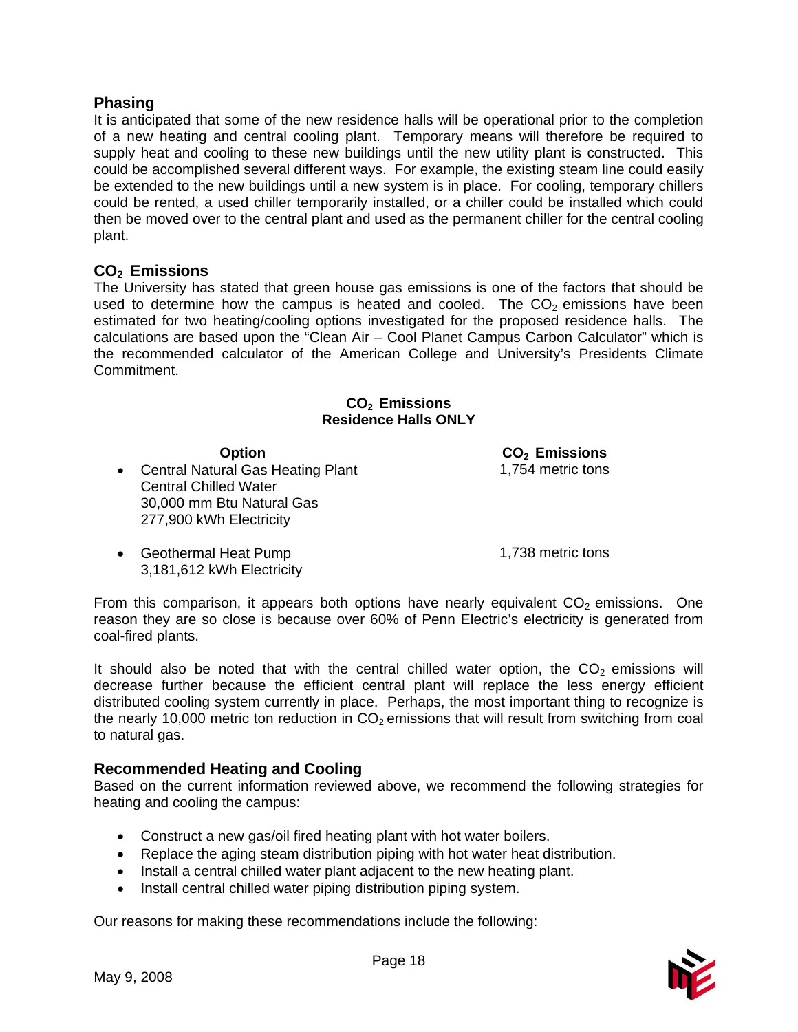#### **Phasing**

It is anticipated that some of the new residence halls will be operational prior to the completion of a new heating and central cooling plant. Temporary means will therefore be required to supply heat and cooling to these new buildings until the new utility plant is constructed. This could be accomplished several different ways. For example, the existing steam line could easily be extended to the new buildings until a new system is in place. For cooling, temporary chillers could be rented, a used chiller temporarily installed, or a chiller could be installed which could then be moved over to the central plant and used as the permanent chiller for the central cooling plant.

# **CO2 Emissions**

The University has stated that green house gas emissions is one of the factors that should be used to determine how the campus is heated and cooled. The  $CO<sub>2</sub>$  emissions have been estimated for two heating/cooling options investigated for the proposed residence halls. The calculations are based upon the "Clean Air – Cool Planet Campus Carbon Calculator" which is the recommended calculator of the American College and University's Presidents Climate Commitment.

#### **CO2 Emissions Residence Halls ONLY**

• Central Natural Gas Heating Plant Central Chilled Water 30,000 mm Btu Natural Gas 277,900 kWh Electricity

**Option**<br> **CO<sub>2</sub> Emissions**<br> **CO<sub>2</sub> Emissions**<br> **CO<sub>2</sub> Emissions** 

• Geothermal Heat Pump 1,738 metric tons 3,181,612 kWh Electricity

From this comparison, it appears both options have nearly equivalent  $CO<sub>2</sub>$  emissions. One reason they are so close is because over 60% of Penn Electric's electricity is generated from coal-fired plants.

It should also be noted that with the central chilled water option, the  $CO<sub>2</sub>$  emissions will decrease further because the efficient central plant will replace the less energy efficient distributed cooling system currently in place. Perhaps, the most important thing to recognize is the nearly 10,000 metric ton reduction in  $CO<sub>2</sub>$  emissions that will result from switching from coal to natural gas.

# **Recommended Heating and Cooling**

Based on the current information reviewed above, we recommend the following strategies for heating and cooling the campus:

- Construct a new gas/oil fired heating plant with hot water boilers.
- Replace the aging steam distribution piping with hot water heat distribution.
- Install a central chilled water plant adjacent to the new heating plant.
- Install central chilled water piping distribution piping system.

Our reasons for making these recommendations include the following:

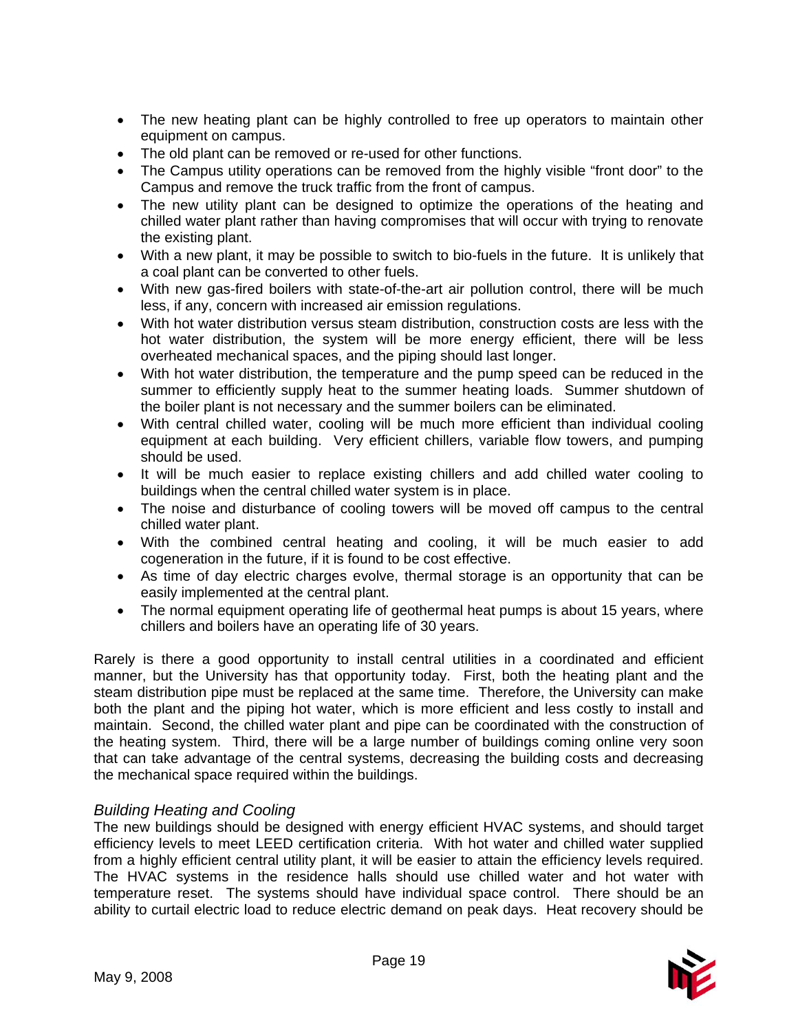- The new heating plant can be highly controlled to free up operators to maintain other equipment on campus.
- The old plant can be removed or re-used for other functions.
- The Campus utility operations can be removed from the highly visible "front door" to the Campus and remove the truck traffic from the front of campus.
- The new utility plant can be designed to optimize the operations of the heating and chilled water plant rather than having compromises that will occur with trying to renovate the existing plant.
- With a new plant, it may be possible to switch to bio-fuels in the future. It is unlikely that a coal plant can be converted to other fuels.
- With new gas-fired boilers with state-of-the-art air pollution control, there will be much less, if any, concern with increased air emission regulations.
- With hot water distribution versus steam distribution, construction costs are less with the hot water distribution, the system will be more energy efficient, there will be less overheated mechanical spaces, and the piping should last longer.
- With hot water distribution, the temperature and the pump speed can be reduced in the summer to efficiently supply heat to the summer heating loads. Summer shutdown of the boiler plant is not necessary and the summer boilers can be eliminated.
- With central chilled water, cooling will be much more efficient than individual cooling equipment at each building. Very efficient chillers, variable flow towers, and pumping should be used.
- It will be much easier to replace existing chillers and add chilled water cooling to buildings when the central chilled water system is in place.
- The noise and disturbance of cooling towers will be moved off campus to the central chilled water plant.
- With the combined central heating and cooling, it will be much easier to add cogeneration in the future, if it is found to be cost effective.
- As time of day electric charges evolve, thermal storage is an opportunity that can be easily implemented at the central plant.
- The normal equipment operating life of geothermal heat pumps is about 15 years, where chillers and boilers have an operating life of 30 years.

Rarely is there a good opportunity to install central utilities in a coordinated and efficient manner, but the University has that opportunity today. First, both the heating plant and the steam distribution pipe must be replaced at the same time. Therefore, the University can make both the plant and the piping hot water, which is more efficient and less costly to install and maintain. Second, the chilled water plant and pipe can be coordinated with the construction of the heating system. Third, there will be a large number of buildings coming online very soon that can take advantage of the central systems, decreasing the building costs and decreasing the mechanical space required within the buildings.

# *Building Heating and Cooling*

The new buildings should be designed with energy efficient HVAC systems, and should target efficiency levels to meet LEED certification criteria. With hot water and chilled water supplied from a highly efficient central utility plant, it will be easier to attain the efficiency levels required. The HVAC systems in the residence halls should use chilled water and hot water with temperature reset. The systems should have individual space control. There should be an ability to curtail electric load to reduce electric demand on peak days. Heat recovery should be

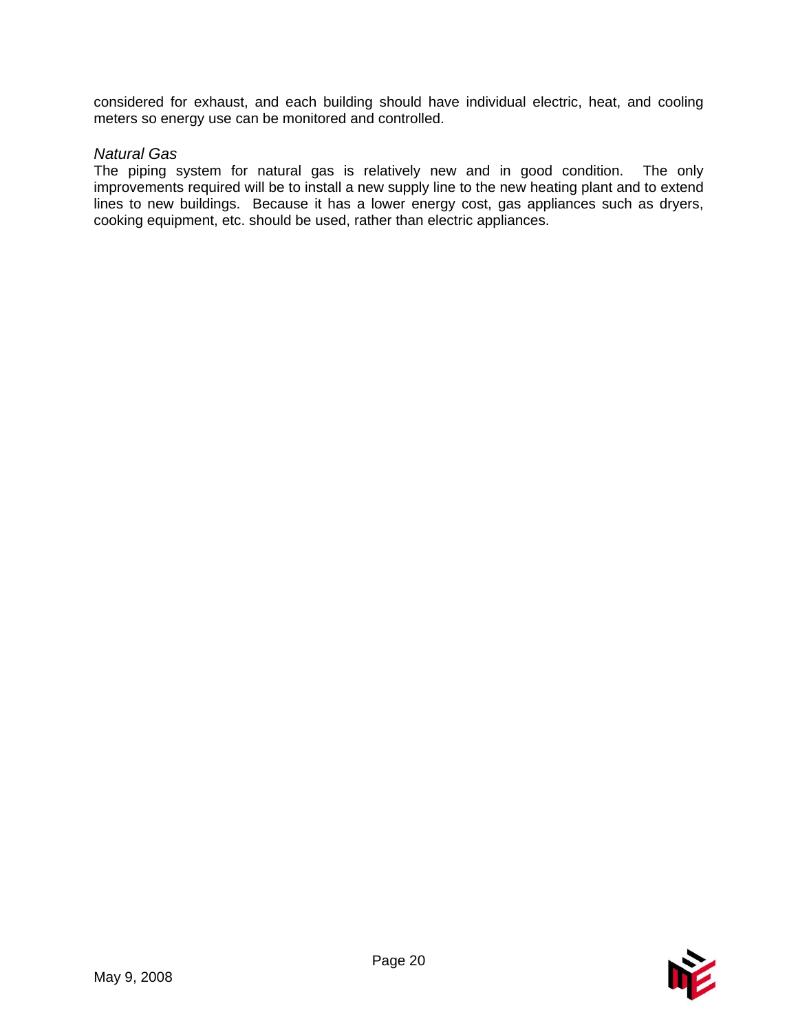considered for exhaust, and each building should have individual electric, heat, and cooling meters so energy use can be monitored and controlled.

#### *Natural Gas*

The piping system for natural gas is relatively new and in good condition. The only improvements required will be to install a new supply line to the new heating plant and to extend lines to new buildings. Because it has a lower energy cost, gas appliances such as dryers, cooking equipment, etc. should be used, rather than electric appliances.

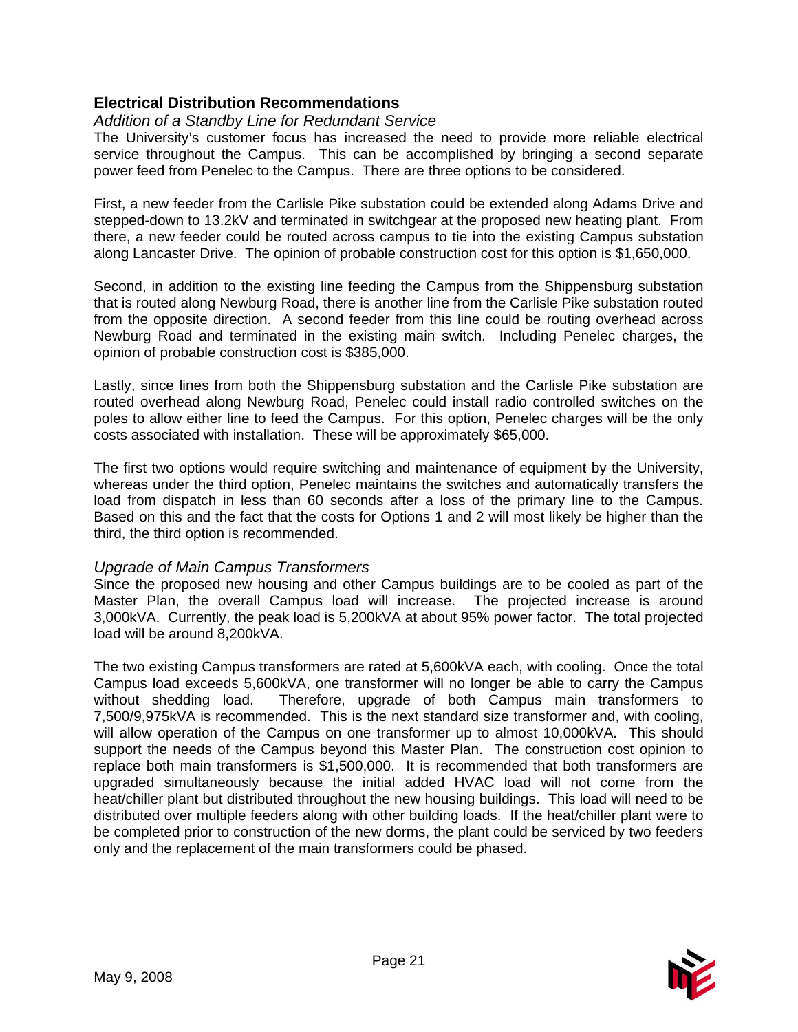# **Electrical Distribution Recommendations**

#### *Addition of a Standby Line for Redundant Service*

The University's customer focus has increased the need to provide more reliable electrical service throughout the Campus. This can be accomplished by bringing a second separate power feed from Penelec to the Campus. There are three options to be considered.

First, a new feeder from the Carlisle Pike substation could be extended along Adams Drive and stepped-down to 13.2kV and terminated in switchgear at the proposed new heating plant. From there, a new feeder could be routed across campus to tie into the existing Campus substation along Lancaster Drive. The opinion of probable construction cost for this option is \$1,650,000.

Second, in addition to the existing line feeding the Campus from the Shippensburg substation that is routed along Newburg Road, there is another line from the Carlisle Pike substation routed from the opposite direction. A second feeder from this line could be routing overhead across Newburg Road and terminated in the existing main switch. Including Penelec charges, the opinion of probable construction cost is \$385,000.

Lastly, since lines from both the Shippensburg substation and the Carlisle Pike substation are routed overhead along Newburg Road, Penelec could install radio controlled switches on the poles to allow either line to feed the Campus. For this option, Penelec charges will be the only costs associated with installation. These will be approximately \$65,000.

The first two options would require switching and maintenance of equipment by the University, whereas under the third option, Penelec maintains the switches and automatically transfers the load from dispatch in less than 60 seconds after a loss of the primary line to the Campus. Based on this and the fact that the costs for Options 1 and 2 will most likely be higher than the third, the third option is recommended.

#### *Upgrade of Main Campus Transformers*

Since the proposed new housing and other Campus buildings are to be cooled as part of the Master Plan, the overall Campus load will increase. The projected increase is around 3,000kVA. Currently, the peak load is 5,200kVA at about 95% power factor. The total projected load will be around 8,200kVA.

The two existing Campus transformers are rated at 5,600kVA each, with cooling. Once the total Campus load exceeds 5,600kVA, one transformer will no longer be able to carry the Campus without shedding load. Therefore, upgrade of both Campus main transformers to 7,500/9,975kVA is recommended. This is the next standard size transformer and, with cooling, will allow operation of the Campus on one transformer up to almost 10,000kVA. This should support the needs of the Campus beyond this Master Plan. The construction cost opinion to replace both main transformers is \$1,500,000. It is recommended that both transformers are upgraded simultaneously because the initial added HVAC load will not come from the heat/chiller plant but distributed throughout the new housing buildings. This load will need to be distributed over multiple feeders along with other building loads. If the heat/chiller plant were to be completed prior to construction of the new dorms, the plant could be serviced by two feeders only and the replacement of the main transformers could be phased.

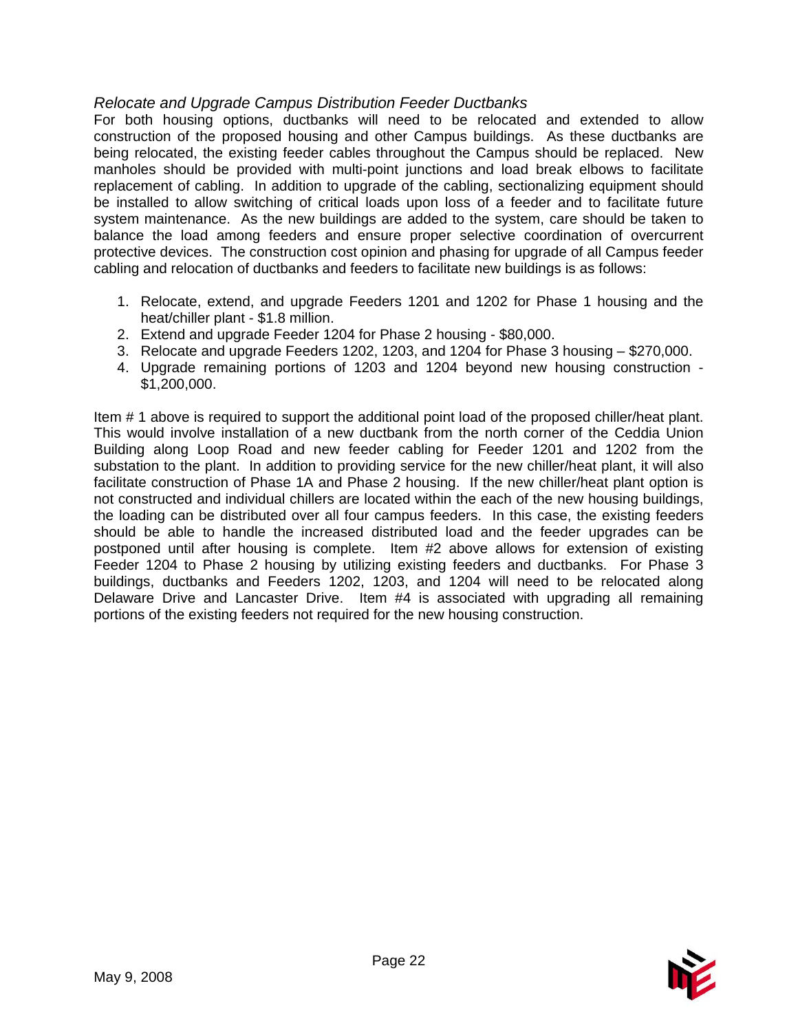# *Relocate and Upgrade Campus Distribution Feeder Ductbanks*

For both housing options, ductbanks will need to be relocated and extended to allow construction of the proposed housing and other Campus buildings. As these ductbanks are being relocated, the existing feeder cables throughout the Campus should be replaced. New manholes should be provided with multi-point junctions and load break elbows to facilitate replacement of cabling. In addition to upgrade of the cabling, sectionalizing equipment should be installed to allow switching of critical loads upon loss of a feeder and to facilitate future system maintenance. As the new buildings are added to the system, care should be taken to balance the load among feeders and ensure proper selective coordination of overcurrent protective devices. The construction cost opinion and phasing for upgrade of all Campus feeder cabling and relocation of ductbanks and feeders to facilitate new buildings is as follows:

- 1. Relocate, extend, and upgrade Feeders 1201 and 1202 for Phase 1 housing and the heat/chiller plant - \$1.8 million.
- 2. Extend and upgrade Feeder 1204 for Phase 2 housing \$80,000.
- 3. Relocate and upgrade Feeders 1202, 1203, and 1204 for Phase 3 housing \$270,000.
- 4. Upgrade remaining portions of 1203 and 1204 beyond new housing construction \$1,200,000.

Item # 1 above is required to support the additional point load of the proposed chiller/heat plant. This would involve installation of a new ductbank from the north corner of the Ceddia Union Building along Loop Road and new feeder cabling for Feeder 1201 and 1202 from the substation to the plant. In addition to providing service for the new chiller/heat plant, it will also facilitate construction of Phase 1A and Phase 2 housing. If the new chiller/heat plant option is not constructed and individual chillers are located within the each of the new housing buildings, the loading can be distributed over all four campus feeders. In this case, the existing feeders should be able to handle the increased distributed load and the feeder upgrades can be postponed until after housing is complete. Item #2 above allows for extension of existing Feeder 1204 to Phase 2 housing by utilizing existing feeders and ductbanks. For Phase 3 buildings, ductbanks and Feeders 1202, 1203, and 1204 will need to be relocated along Delaware Drive and Lancaster Drive. Item #4 is associated with upgrading all remaining portions of the existing feeders not required for the new housing construction.

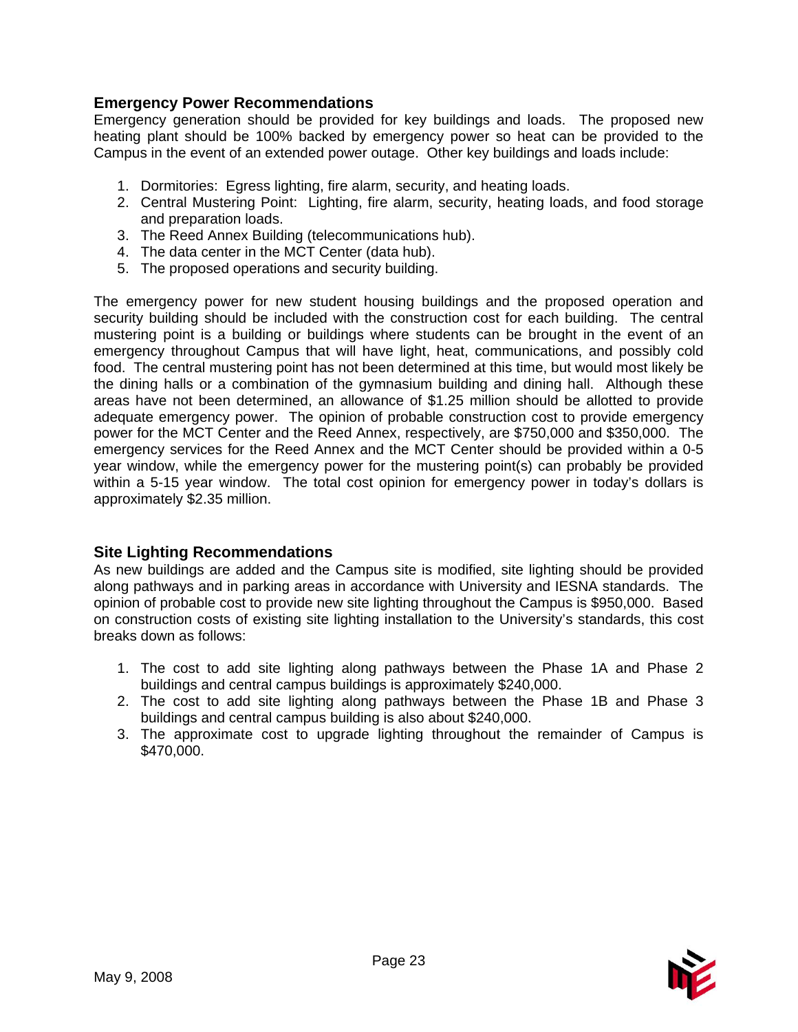# **Emergency Power Recommendations**

Emergency generation should be provided for key buildings and loads. The proposed new heating plant should be 100% backed by emergency power so heat can be provided to the Campus in the event of an extended power outage. Other key buildings and loads include:

- 1. Dormitories: Egress lighting, fire alarm, security, and heating loads.
- 2. Central Mustering Point: Lighting, fire alarm, security, heating loads, and food storage and preparation loads.
- 3. The Reed Annex Building (telecommunications hub).
- 4. The data center in the MCT Center (data hub).
- 5. The proposed operations and security building.

The emergency power for new student housing buildings and the proposed operation and security building should be included with the construction cost for each building. The central mustering point is a building or buildings where students can be brought in the event of an emergency throughout Campus that will have light, heat, communications, and possibly cold food. The central mustering point has not been determined at this time, but would most likely be the dining halls or a combination of the gymnasium building and dining hall. Although these areas have not been determined, an allowance of \$1.25 million should be allotted to provide adequate emergency power. The opinion of probable construction cost to provide emergency power for the MCT Center and the Reed Annex, respectively, are \$750,000 and \$350,000. The emergency services for the Reed Annex and the MCT Center should be provided within a 0-5 year window, while the emergency power for the mustering point(s) can probably be provided within a 5-15 year window. The total cost opinion for emergency power in today's dollars is approximately \$2.35 million.

# **Site Lighting Recommendations**

As new buildings are added and the Campus site is modified, site lighting should be provided along pathways and in parking areas in accordance with University and IESNA standards. The opinion of probable cost to provide new site lighting throughout the Campus is \$950,000. Based on construction costs of existing site lighting installation to the University's standards, this cost breaks down as follows:

- 1. The cost to add site lighting along pathways between the Phase 1A and Phase 2 buildings and central campus buildings is approximately \$240,000.
- 2. The cost to add site lighting along pathways between the Phase 1B and Phase 3 buildings and central campus building is also about \$240,000.
- 3. The approximate cost to upgrade lighting throughout the remainder of Campus is \$470,000.

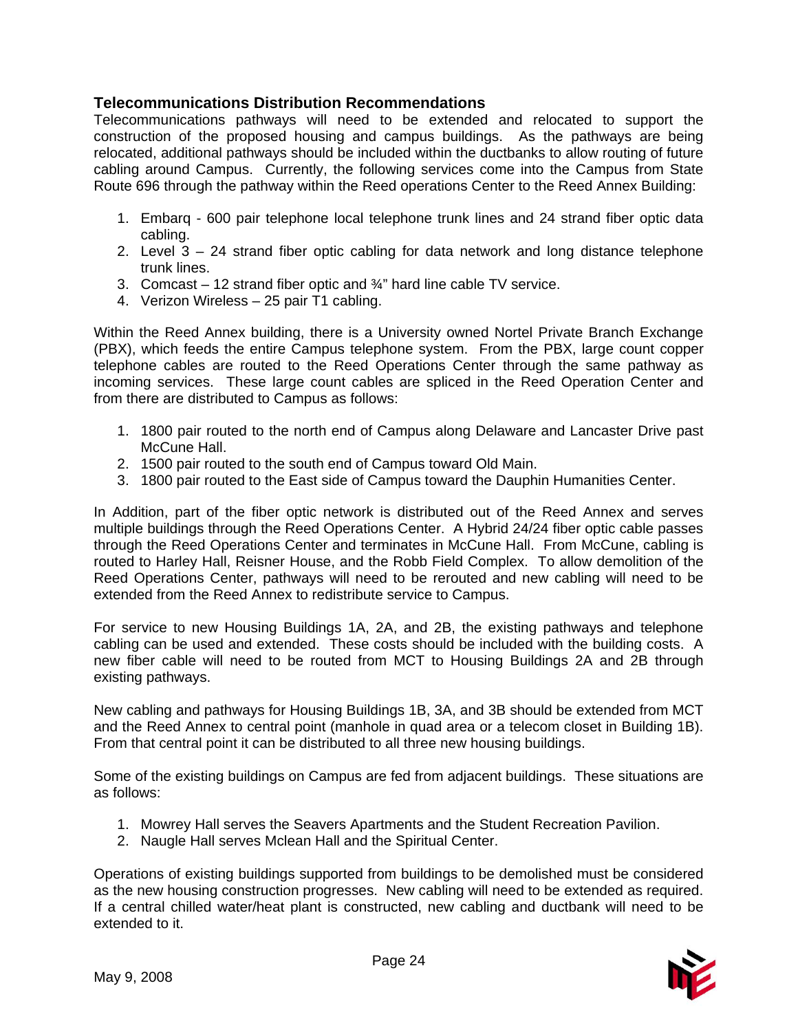# **Telecommunications Distribution Recommendations**

Telecommunications pathways will need to be extended and relocated to support the construction of the proposed housing and campus buildings. As the pathways are being relocated, additional pathways should be included within the ductbanks to allow routing of future cabling around Campus. Currently, the following services come into the Campus from State Route 696 through the pathway within the Reed operations Center to the Reed Annex Building:

- 1. Embarq 600 pair telephone local telephone trunk lines and 24 strand fiber optic data cabling.
- 2. Level 3 24 strand fiber optic cabling for data network and long distance telephone trunk lines.
- 3. Comcast 12 strand fiber optic and ¾" hard line cable TV service.
- 4. Verizon Wireless 25 pair T1 cabling.

Within the Reed Annex building, there is a University owned Nortel Private Branch Exchange (PBX), which feeds the entire Campus telephone system. From the PBX, large count copper telephone cables are routed to the Reed Operations Center through the same pathway as incoming services. These large count cables are spliced in the Reed Operation Center and from there are distributed to Campus as follows:

- 1. 1800 pair routed to the north end of Campus along Delaware and Lancaster Drive past McCune Hall.
- 2. 1500 pair routed to the south end of Campus toward Old Main.
- 3. 1800 pair routed to the East side of Campus toward the Dauphin Humanities Center.

In Addition, part of the fiber optic network is distributed out of the Reed Annex and serves multiple buildings through the Reed Operations Center. A Hybrid 24/24 fiber optic cable passes through the Reed Operations Center and terminates in McCune Hall. From McCune, cabling is routed to Harley Hall, Reisner House, and the Robb Field Complex. To allow demolition of the Reed Operations Center, pathways will need to be rerouted and new cabling will need to be extended from the Reed Annex to redistribute service to Campus.

For service to new Housing Buildings 1A, 2A, and 2B, the existing pathways and telephone cabling can be used and extended. These costs should be included with the building costs. A new fiber cable will need to be routed from MCT to Housing Buildings 2A and 2B through existing pathways.

New cabling and pathways for Housing Buildings 1B, 3A, and 3B should be extended from MCT and the Reed Annex to central point (manhole in quad area or a telecom closet in Building 1B). From that central point it can be distributed to all three new housing buildings.

Some of the existing buildings on Campus are fed from adjacent buildings. These situations are as follows:

- 1. Mowrey Hall serves the Seavers Apartments and the Student Recreation Pavilion.
- 2. Naugle Hall serves Mclean Hall and the Spiritual Center.

Operations of existing buildings supported from buildings to be demolished must be considered as the new housing construction progresses. New cabling will need to be extended as required. If a central chilled water/heat plant is constructed, new cabling and ductbank will need to be extended to it.